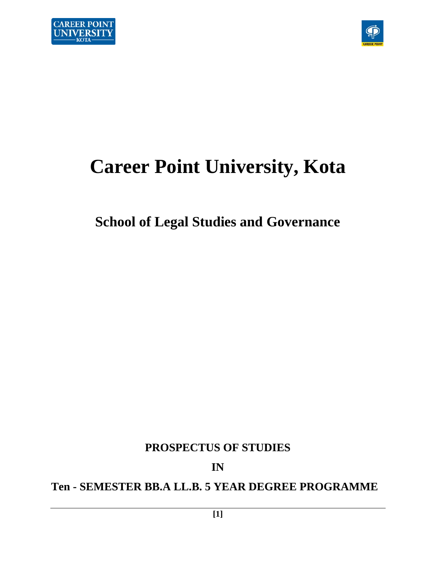



# **Career Point University, Kota**

# **School of Legal Studies and Governance**

**PROSPECTUS OF STUDIES** 

**IN** 

**Ten - SEMESTER BB.A LL.B. 5 YEAR DEGREE PROGRAMME**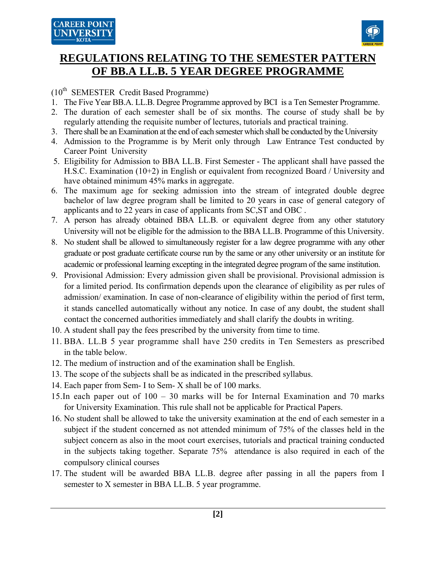

## (10th SEMESTER Credit Based Programme)

- 1. The Five Year BB.A. LL.B. Degree Programme approved by BCI is a Ten Semester Programme.
- 2. The duration of each semester shall be of six months. The course of study shall be by regularly attending the requisite number of lectures, tutorials and practical training.
- 3. There shall be an Examination at the end of each semester which shall be conducted by the University
- 4. Admission to the Programme is by Merit only through Law Entrance Test conducted by Career Point University
- 5. Eligibility for Admission to BBA LL.B. First Semester The applicant shall have passed the H.S.C. Examination (10+2) in English or equivalent from recognized Board / University and have obtained minimum 45% marks in aggregate.
- 6. The maximum age for seeking admission into the stream of integrated double degree bachelor of law degree program shall be limited to 20 years in case of general category of applicants and to 22 years in case of applicants from SC,ST and OBC .
- 7. A person has already obtained BBA LL.B. or equivalent degree from any other statutory University will not be eligible for the admission to the BBA LL.B. Programme of this University.
- 8. No student shall be allowed to simultaneously register for a law degree programme with any other graduate or post graduate certificate course run by the same or any other university or an institute for academic or professional learning excepting in the integrated degree program of the same institution.
- 9. Provisional Admission: Every admission given shall be provisional. Provisional admission is for a limited period. Its confirmation depends upon the clearance of eligibility as per rules of admission/ examination. In case of non-clearance of eligibility within the period of first term, it stands cancelled automatically without any notice. In case of any doubt, the student shall contact the concerned authorities immediately and shall clarify the doubts in writing.
- 10. A student shall pay the fees prescribed by the university from time to time.
- 11. BBA. LL.B 5 year programme shall have 250 credits in Ten Semesters as prescribed in the table below.
- 12. The medium of instruction and of the examination shall be English.
- 13. The scope of the subjects shall be as indicated in the prescribed syllabus.
- 14. Each paper from Sem- I to Sem- X shall be of 100 marks.
- 15.In each paper out of 100 30 marks will be for Internal Examination and 70 marks for University Examination. This rule shall not be applicable for Practical Papers.
- 16. No student shall be allowed to take the university examination at the end of each semester in a subject if the student concerned as not attended minimum of 75% of the classes held in the subject concern as also in the moot court exercises, tutorials and practical training conducted in the subjects taking together. Separate 75% attendance is also required in each of the compulsory clinical courses
- 17. The student will be awarded BBA LL.B. degree after passing in all the papers from I semester to X semester in BBA LL.B. 5 year programme.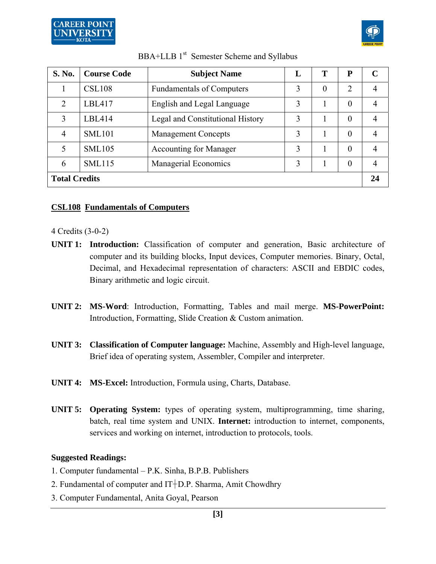



| <b>S. No.</b>        | <b>Course Code</b> | <b>Subject Name</b>              | L | т        | P              | C  |
|----------------------|--------------------|----------------------------------|---|----------|----------------|----|
|                      | <b>CSL108</b>      | <b>Fundamentals of Computers</b> | 3 | $\theta$ | 2              | 4  |
| 2                    | LBL417             | English and Legal Language       | 3 |          | $\theta$       | 4  |
| 3                    | LBL414             | Legal and Constitutional History | 3 |          | $\theta$       | 4  |
| 4                    | <b>SML101</b>      | <b>Management Concepts</b>       | 3 |          | $\Omega$       | 4  |
| 5                    | <b>SML105</b>      | <b>Accounting for Manager</b>    | 3 |          | $\theta$       | 4  |
| 6                    | <b>SML115</b>      | Managerial Economics             | 3 |          | $\overline{0}$ | 4  |
| <b>Total Credits</b> |                    |                                  |   |          |                | 24 |

#### **CSL108 Fundamentals of Computers**

#### 4 Credits (3-0-2)

- **UNIT 1: Introduction:** Classification of computer and generation, Basic architecture of computer and its building blocks, Input devices, Computer memories. Binary, Octal, Decimal, and Hexadecimal representation of characters: ASCII and EBDIC codes, Binary arithmetic and logic circuit.
- **UNIT 2: MS-Word**: Introduction, Formatting, Tables and mail merge. **MS-PowerPoint:**  Introduction, Formatting, Slide Creation & Custom animation.
- **UNIT 3: Classification of Computer language:** Machine, Assembly and High-level language, Brief idea of operating system, Assembler, Compiler and interpreter.
- **UNIT 4: MS-Excel:** Introduction, Formula using, Charts, Database.
- **UNIT 5: Operating System:** types of operating system, multiprogramming, time sharing, batch, real time system and UNIX. **Internet:** introduction to internet, components, services and working on internet, introduction to protocols, tools.

#### **Suggested Readings:**

- 1. Computer fundamental P.K. Sinha, B.P.B. Publishers
- 2. Fundamental of computer and  $IT+D.P.$  Sharma, Amit Chowdhry
- 3. Computer Fundamental, Anita Goyal, Pearson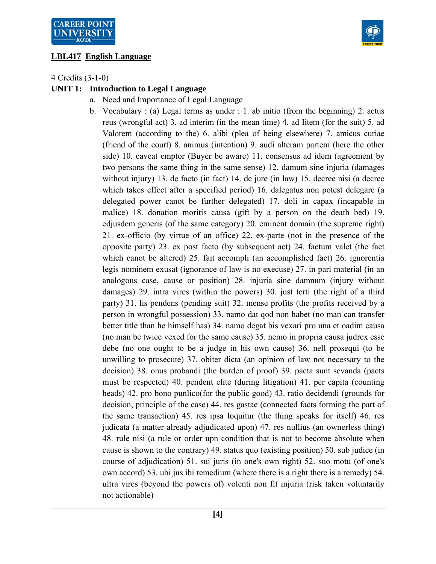## **LBL417 English Language**



4 Credits (3-1-0)

## **UNIT 1: Introduction to Legal Language**

- a. Need and Importance of Legal Language
- b. Vocabulary : (a) Legal terms as under : 1. ab initio (from the beginning) 2. actus reus (wrongful act) 3. ad interim (in the mean time) 4. ad Iitem (for the suit) 5. ad Valorem (according to the) 6. alibi (plea of being elsewhere) 7. amicus curiae (friend of the court) 8. animus (intention) 9. audi alteram partem (here the other side) 10. caveat emptor (Buyer be aware) 11. consensus ad idem (agreement by two persons the same thing in the same sense) 12. damum sine injuria (damages without injury) 13. de facto (in fact) 14. de jure (in law) 15. decree nisi (a decree which takes effect after a specified period) 16. dalegatus non potest delegare (a delegated power canot be further delegated) 17. doli in capax (incapable in malice) 18. donation moritis causa (gift by a person on the death bed) 19. edjusdem generis (of the same category) 20. eminent domain (the supreme right) 21. ex-officio (by virtue of an office) 22. ex-parte (not in the presence of the opposite party) 23. ex post facto (by subsequent act) 24. factum valet (the fact which canot be altered) 25. fait accompli (an accomplished fact) 26. ignorentia legis nominem exusat (ignorance of law is no execuse) 27. in pari material (in an analogous case, cause or position) 28. injuria sine damnum (injury without damages) 29. intra vires (within the powers) 30. just terti (the right of a third party) 31. lis pendens (pending suit) 32. mense profits (the profits received by a person in wrongful possession) 33. namo dat qod non habet (no man can transfer better title than he himself has) 34. namo degat bis vexari pro una et oadim causa (no man be twice vexed for the same cause) 35. nemo in propria causa judrex esse debe (no one ought to be a judge in his own cause) 36. nell prosequi (to be unwilling to prosecute) 37. obiter dicta (an opinion of law not necessary to the decision) 38. onus probandi (the burden of proof) 39. pacta sunt sevanda (pacts must be respected) 40. pendent elite (during litigation) 41. per capita (counting heads) 42. pro bono punlico(for the public good) 43. ratio decidendi (grounds for decision, principle of the case) 44. res gastae (connected facts forming the part of the same transaction) 45. res ipsa loquitur (the thing speaks for itself) 46. res judicata (a matter already adjudicated upon) 47. res nullius (an ownerless thing) 48. rule nisi (a rule or order upn condition that is not to become absolute when cause is shown to the contrary) 49. status quo (existing position) 50. sub judice (in course of adjudication) 51. sui juris (in one's own right) 52. suo motu (of one's own accord) 53. ubi jus ibi remedium (where there is a right there is a remedy) 54. ultra vires (beyond the powers of) volenti non fit injuria (risk taken voluntarily not actionable)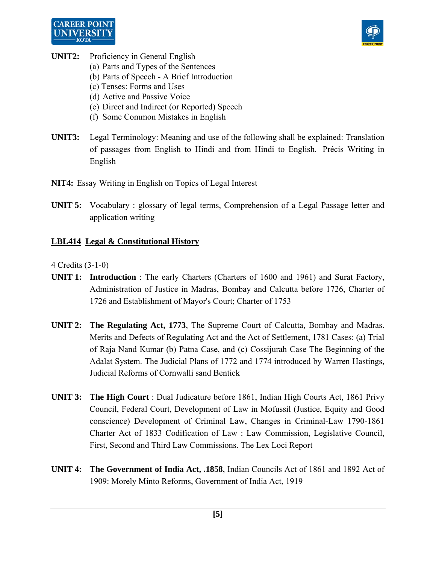



- **UNIT2:** Proficiency in General English
	- (a) Parts and Types of the Sentences
	- (b) Parts of Speech A Brief Introduction
	- (c) Tenses: Forms and Uses
	- (d) Active and Passive Voice
	- (e) Direct and Indirect (or Reported) Speech
	- (f) Some Common Mistakes in English
- **UNIT3:** Legal Terminology: Meaning and use of the following shall be explained: Translation of passages from English to Hindi and from Hindi to English. Précis Writing in English
- **NIT4:** Essay Writing in English on Topics of Legal Interest
- **UNIT 5:** Vocabulary : glossary of legal terms, Comprehension of a Legal Passage letter and application writing

#### **LBL414 Legal & Constitutional History**

- **UNIT 1: Introduction** : The early Charters (Charters of 1600 and 1961) and Surat Factory, Administration of Justice in Madras, Bombay and Calcutta before 1726, Charter of 1726 and Establishment of Mayor's Court; Charter of 1753
- **UNIT 2: The Regulating Act, 1773**, The Supreme Court of Calcutta, Bombay and Madras. Merits and Defects of Regulating Act and the Act of Settlement, 1781 Cases: (a) Trial of Raja Nand Kumar (b) Patna Case, and (c) Cossijurah Case The Beginning of the Adalat System. The Judicial Plans of 1772 and 1774 introduced by Warren Hastings, Judicial Reforms of Cornwalli sand Bentick
- **UNIT 3: The High Court** : Dual Judicature before 1861, Indian High Courts Act, 1861 Privy Council, Federal Court, Development of Law in Mofussil (Justice, Equity and Good conscience) Development of Criminal Law, Changes in Criminal-Law 1790-1861 Charter Act of 1833 Codification of Law : Law Commission, Legislative Council, First, Second and Third Law Commissions. The Lex Loci Report
- **UNIT 4: The Government of India Act, .1858**, Indian Councils Act of 1861 and 1892 Act of 1909: Morely Minto Reforms, Government of India Act, 1919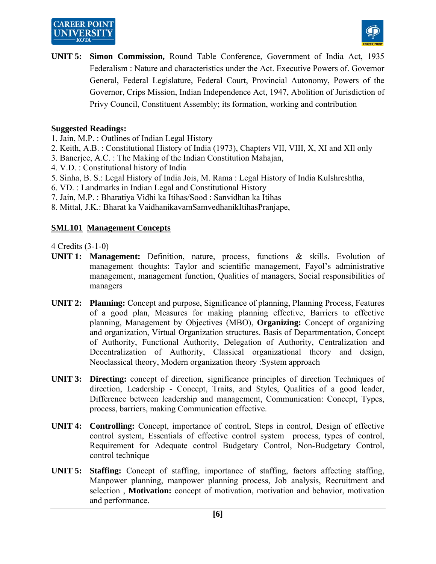## **CAREER POINT UNIVERSIT**



**UNIT 5: Simon Commission,** Round Table Conference, Government of India Act, 1935 Federalism : Nature and characteristics under the Act. Executive Powers of. Governor General, Federal Legislature, Federal Court, Provincial Autonomy, Powers of the Governor, Crips Mission, Indian Independence Act, 1947, Abolition of Jurisdiction of Privy Council, Constituent Assembly; its formation, working and contribution

## **Suggested Readings:**

- 1. Jain, M.P. : Outlines of Indian Legal History
- 2. Keith, A.B. : Constitutional History of India (1973), Chapters VII, VIII, X, XI and XIl only
- 3. Banerjee, A.C. : The Making of the Indian Constitution Mahajan,
- 4. V.D. : Constitutional history of India
- 5. Sinha, B. S.: Legal History of India Jois, M. Rama : Legal History of India Kulshreshtha,
- 6. VD. : Landmarks in Indian Legal and Constitutional History
- 7. Jain, M.P. : Bharatiya Vidhi ka Itihas/Sood : Sanvidhan ka Itihas
- 8. Mittal, J.K.: Bharat ka VaidhanikavamSamvedhanikItihasPranjape,

## **SML101 Management Concepts**

- **UNIT 1: Management:** Definition, nature, process, functions & skills. Evolution of management thoughts: Taylor and scientific management, Fayol's administrative management, management function, Qualities of managers, Social responsibilities of managers
- **UNIT 2: Planning:** Concept and purpose, Significance of planning, Planning Process, Features of a good plan, Measures for making planning effective, Barriers to effective planning, Management by Objectives (MBO), **Organizing:** Concept of organizing and organization, Virtual Organization structures. Basis of Departmentation, Concept of Authority, Functional Authority, Delegation of Authority, Centralization and Decentralization of Authority, Classical organizational theory and design, Neoclassical theory, Modern organization theory :System approach
- **UNIT 3: Directing:** concept of direction, significance principles of direction Techniques of direction, Leadership - Concept, Traits, and Styles, Qualities of a good leader, Difference between leadership and management, Communication: Concept, Types, process, barriers, making Communication effective.
- **UNIT 4: Controlling:** Concept, importance of control, Steps in control, Design of effective control system, Essentials of effective control system process, types of control, Requirement for Adequate control Budgetary Control, Non-Budgetary Control, control technique
- **UNIT 5: Staffing:** Concept of staffing, importance of staffing, factors affecting staffing, Manpower planning, manpower planning process, Job analysis, Recruitment and selection , **Motivation:** concept of motivation, motivation and behavior, motivation and performance.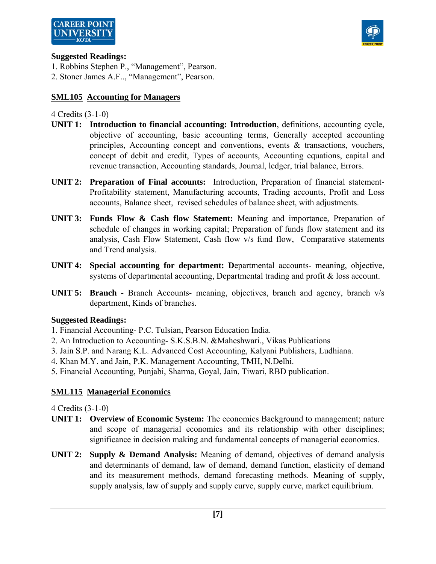



#### **Suggested Readings:**

1. Robbins Stephen P., "Management", Pearson.

2. Stoner James A.F.., "Management", Pearson.

## **SML105 Accounting for Managers**

#### 4 Credits (3-1-0)

- **UNIT 1: Introduction to financial accounting: Introduction**, definitions, accounting cycle, objective of accounting, basic accounting terms, Generally accepted accounting principles, Accounting concept and conventions, events  $\&$  transactions, vouchers, concept of debit and credit, Types of accounts, Accounting equations, capital and revenue transaction, Accounting standards, Journal, ledger, trial balance, Errors.
- **UNIT 2: Preparation of Final accounts:** Introduction, Preparation of financial statement-Profitability statement, Manufacturing accounts, Trading accounts, Profit and Loss accounts, Balance sheet, revised schedules of balance sheet, with adjustments.
- **UNIT 3: Funds Flow & Cash flow Statement:** Meaning and importance, Preparation of schedule of changes in working capital; Preparation of funds flow statement and its analysis, Cash Flow Statement, Cash flow v/s fund flow, Comparative statements and Trend analysis.
- **UNIT 4: Special accounting for department: D**epartmental accounts- meaning, objective, systems of departmental accounting, Departmental trading and profit & loss account.
- **UNIT 5: Branch -** Branch Accounts- meaning, objectives, branch and agency, branch v/s department, Kinds of branches.

#### **Suggested Readings:**

- 1. Financial Accounting- P.C. Tulsian, Pearson Education India.
- 2. An Introduction to Accounting- S.K.S.B.N. &Maheshwari., Vikas Publications
- 3. Jain S.P. and Narang K.L. Advanced Cost Accounting, Kalyani Publishers, Ludhiana.
- 4. Khan M.Y. and Jain, P.K. Management Accounting, TMH, N.Delhi.
- 5. Financial Accounting, Punjabi, Sharma, Goyal, Jain, Tiwari, RBD publication.

#### **SML115 Managerial Economics**

- **UNIT 1:** Overview of Economic System: The economics Background to management; nature and scope of managerial economics and its relationship with other disciplines; significance in decision making and fundamental concepts of managerial economics.
- **UNIT 2: Supply & Demand Analysis:** Meaning of demand, objectives of demand analysis and determinants of demand, law of demand, demand function, elasticity of demand and its measurement methods, demand forecasting methods. Meaning of supply, supply analysis, law of supply and supply curve, supply curve, market equilibrium.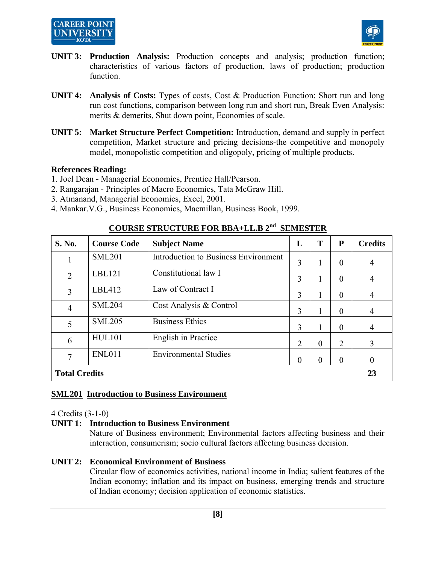## **CAREER POINT UNIVERSIT**



- **UNIT 3: Production Analysis:** Production concepts and analysis; production function; characteristics of various factors of production, laws of production; production function.
- **UNIT 4: Analysis of Costs:** Types of costs, Cost & Production Function: Short run and long run cost functions, comparison between long run and short run, Break Even Analysis: merits & demerits, Shut down point, Economies of scale.
- **UNIT 5: Market Structure Perfect Competition:** Introduction, demand and supply in perfect competition, Market structure and pricing decisions-the competitive and monopoly model, monopolistic competition and oligopoly, pricing of multiple products.

#### **References Reading:**

- 1. Joel Dean Managerial Economics, Prentice Hall/Pearson.
- 2. Rangarajan Principles of Macro Economics, Tata McGraw Hill.
- 3. Atmanand, Managerial Economics, Excel, 2001.
- 4. Mankar.V.G., Business Economics, Macmillan, Business Book, 1999.

| S. No.               | <b>Course Code</b> | <b>Subject Name</b>                         | L              | T        | ${\bf P}$      | <b>Credits</b> |
|----------------------|--------------------|---------------------------------------------|----------------|----------|----------------|----------------|
|                      | <b>SML201</b>      | <b>Introduction to Business Environment</b> | 3              |          | $\theta$       | $\overline{4}$ |
| $\overline{2}$       | LBL121             | Constitutional law I                        | 3              |          | $\theta$       | $\overline{4}$ |
| 3                    | LBL412             | Law of Contract I                           | 3              |          | $\theta$       | $\overline{4}$ |
| $\overline{4}$       | <b>SML204</b>      | Cost Analysis & Control                     | 3              |          | $\theta$       | $\overline{4}$ |
| 5                    | <b>SML205</b>      | <b>Business Ethics</b>                      | 3              |          | $\theta$       | $\overline{4}$ |
| 6                    | <b>HUL101</b>      | English in Practice                         | $\overline{2}$ | $\theta$ | $\overline{2}$ | 3              |
| 7                    | <b>ENL011</b>      | <b>Environmental Studies</b>                | $\theta$       | $\Omega$ | $\theta$       | $\theta$       |
| <b>Total Credits</b> |                    |                                             |                |          |                |                |

## **COURSE STRUCTURE FOR BBA+LL.B 2nd SEMESTER**

#### **SML201 Introduction to Business Environment**

4 Credits (3-1-0)

#### **UNIT 1: Introduction to Business Environment**

 Nature of Business environment; Environmental factors affecting business and their interaction, consumerism; socio cultural factors affecting business decision.

#### **UNIT 2: Economical Environment of Business**

 Circular flow of economics activities, national income in India; salient features of the Indian economy; inflation and its impact on business, emerging trends and structure of Indian economy; decision application of economic statistics.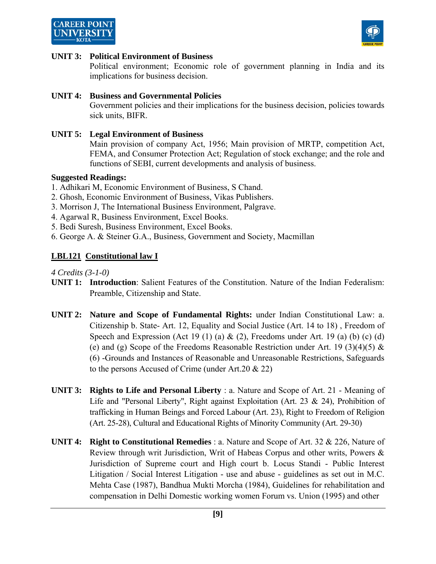



#### **UNIT 3: Political Environment of Business**

 Political environment; Economic role of government planning in India and its implications for business decision.

#### **UNIT 4: Business and Governmental Policies**

 Government policies and their implications for the business decision, policies towards sick units, BIFR.

#### **UNIT 5: Legal Environment of Business**

 Main provision of company Act, 1956; Main provision of MRTP, competition Act, FEMA, and Consumer Protection Act; Regulation of stock exchange; and the role and functions of SEBI, current developments and analysis of business.

#### **Suggested Readings:**

- 1. Adhikari M, Economic Environment of Business, S Chand.
- 2. Ghosh, Economic Environment of Business, Vikas Publishers.
- 3. Morrison J, The International Business Environment, Palgrave.
- 4. Agarwal R, Business Environment, Excel Books.
- 5. Bedi Suresh, Business Environment, Excel Books.
- 6. George A. & Steiner G.A., Business, Government and Society, Macmillan

#### **LBL121 Constitutional law I**

- **UNIT 1: Introduction**: Salient Features of the Constitution. Nature of the Indian Federalism: Preamble, Citizenship and State.
- **UNIT 2: Nature and Scope of Fundamental Rights:** under Indian Constitutional Law: a. Citizenship b. State- Art. 12, Equality and Social Justice (Art. 14 to 18) , Freedom of Speech and Expression (Act 19 (1) (a)  $\&$  (2), Freedoms under Art. 19 (a) (b) (c) (d) (e) and (g) Scope of the Freedoms Reasonable Restriction under Art. 19 (3)(4)(5)  $\&$ (6) -Grounds and Instances of Reasonable and Unreasonable Restrictions, Safeguards to the persons Accused of Crime (under Art.20 & 22)
- **UNIT 3: Rights to Life and Personal Liberty** : a. Nature and Scope of Art. 21 Meaning of Life and "Personal Liberty", Right against Exploitation (Art. 23 & 24), Prohibition of trafficking in Human Beings and Forced Labour (Art. 23), Right to Freedom of Religion (Art. 25-28), Cultural and Educational Rights of Minority Community (Art. 29-30)
- **UNIT 4: Right to Constitutional Remedies** : a. Nature and Scope of Art. 32 & 226, Nature of Review through writ Jurisdiction, Writ of Habeas Corpus and other writs, Powers & Jurisdiction of Supreme court and High court b. Locus Standi - Public Interest Litigation / Social Interest Litigation - use and abuse - guidelines as set out in M.C. Mehta Case (1987), Bandhua Mukti Morcha (1984), Guidelines for rehabilitation and compensation in Delhi Domestic working women Forum vs. Union (1995) and other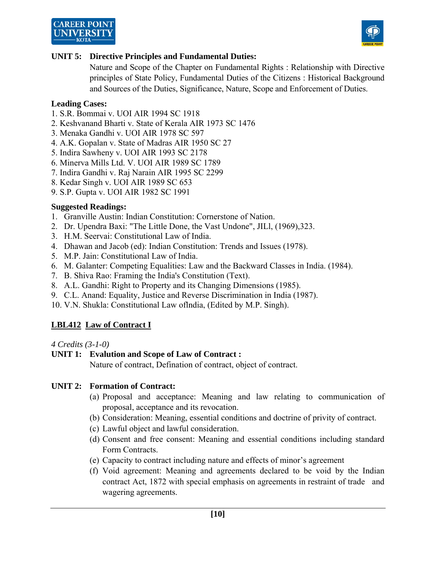



#### **UNIT 5: Directive Principles and Fundamental Duties:**

 Nature and Scope of the Chapter on Fundamental Rights : Relationship with Directive principles of State Policy, Fundamental Duties of the Citizens : Historical Background and Sources of the Duties, Significance, Nature, Scope and Enforcement of Duties.

#### **Leading Cases:**

- 1. S.R. Bommai v. UOI AIR 1994 SC 1918
- 2. Keshvanand Bharti v. State of Kerala AIR 1973 SC 1476
- 3. Menaka Gandhi v. UOI AIR 1978 SC 597
- 4. A.K. Gopalan v. State of Madras AIR 1950 SC 27
- 5. Indira Sawheny v. UOI AIR 1993 SC 2178
- 6. Minerva Mills Ltd. V. UOI AIR 1989 SC 1789
- 7. Indira Gandhi v. Raj Narain AIR 1995 SC 2299
- 8. Kedar Singh v. UOI AIR 1989 SC 653
- 9. S.P. Gupta v. UOI AIR 1982 SC 1991

#### **Suggested Readings:**

- 1. Granville Austin: Indian Constitution: Cornerstone of Nation.
- 2. Dr. Upendra Baxi: "The Little Done, the Vast Undone", JILl, (1969),323.
- 3. H.M. Seervai: Constitutional Law of India.
- 4. Dhawan and Jacob (ed): Indian Constitution: Trends and Issues (1978).
- 5. M.P. Jain: Constitutional Law of India.
- 6. M. Galanter: Competing Equalities: Law and the Backward Classes in India. (1984).
- 7. B. Shiva Rao: Framing the India's Constitution (Text).
- 8. A.L. Gandhi: Right to Property and its Changing Dimensions (1985).
- 9. C.L. Anand: Equality, Justice and Reverse Discrimination in India (1987).
- 10. V.N. Shukla: Constitutional Law oflndia, (Edited by M.P. Singh).

#### **LBL412 Law of Contract I**

#### *4 Credits (3-1-0)*

#### **UNIT 1: Evalution and Scope of Law of Contract :**

Nature of contract, Defination of contract, object of contract.

#### **UNIT 2: Formation of Contract:**

- (a) Proposal and acceptance: Meaning and law relating to communication of proposal, acceptance and its revocation.
- (b) Consideration: Meaning, essential conditions and doctrine of privity of contract.
- (c) Lawful object and lawful consideration.
- (d) Consent and free consent: Meaning and essential conditions including standard Form Contracts.
- (e) Capacity to contract including nature and effects of minor's agreement
- (f) Void agreement: Meaning and agreements declared to be void by the Indian contract Act, 1872 with special emphasis on agreements in restraint of trade and wagering agreements.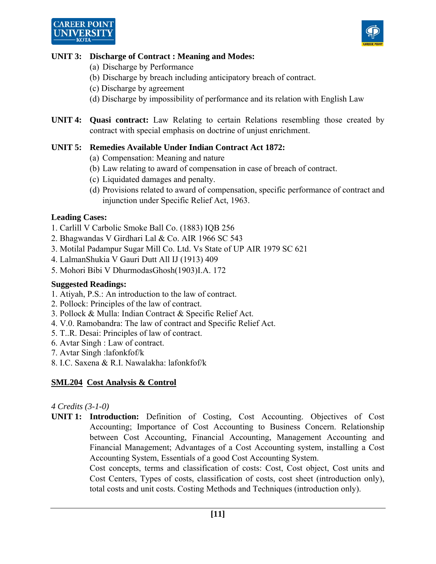

## **UNIT 3: Discharge of Contract : Meaning and Modes:**

- (a) Discharge by Performance
- (b) Discharge by breach including anticipatory breach of contract.
- (c) Discharge by agreement
- (d) Discharge by impossibility of performance and its relation with English Law
- **UNIT 4: Quasi contract:** Law Relating to certain Relations resembling those created by contract with special emphasis on doctrine of unjust enrichment.

## **UNIT 5: Remedies Available Under Indian Contract Act 1872:**

- (a) Compensation: Meaning and nature
- (b) Law relating to award of compensation in case of breach of contract.
- (c) Liquidated damages and penalty.
- (d) Provisions related to award of compensation, specific performance of contract and injunction under Specific Relief Act, 1963.

## **Leading Cases:**

- 1. Carlill V Carbolic Smoke Ball Co. (1883) IQB 256
- 2. Bhagwandas V Girdhari Lal & Co. AIR 1966 SC 543
- 3. Motilal Padampur Sugar Mill Co. Ltd. Vs State of UP AIR 1979 SC 621
- 4. LalmanShukia V Gauri Dutt All IJ (1913) 409
- 5. Mohori Bibi V DhurmodasGhosh(1903)I.A. 172

#### **Suggested Readings:**

- 1. Atiyah, P.S.: An introduction to the law of contract.
- 2. Pollock: Principles of the law of contract.
- 3. Pollock & Mulla: Indian Contract & Specific Relief Act.
- 4. V.0. Ramobandra: The law of contract and Specific Relief Act.
- 5. T..R. Desai: Principles of law of contract.
- 6. Avtar Singh : Law of contract.
- 7. Avtar Singh :lafonkfof/k
- 8. I.C. Saxena & R.I. Nawalakha: lafonkfof/k

## **SML204 Cost Analysis & Control**

#### *4 Credits (3-1-0)*

**UNIT 1: Introduction:** Definition of Costing, Cost Accounting. Objectives of Cost Accounting; Importance of Cost Accounting to Business Concern. Relationship between Cost Accounting, Financial Accounting, Management Accounting and Financial Management; Advantages of a Cost Accounting system, installing a Cost Accounting System, Essentials of a good Cost Accounting System.

> Cost concepts, terms and classification of costs: Cost, Cost object, Cost units and Cost Centers, Types of costs, classification of costs, cost sheet (introduction only), total costs and unit costs. Costing Methods and Techniques (introduction only).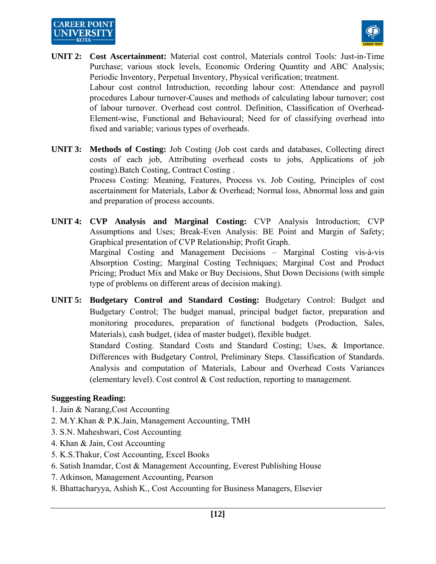



- **UNIT 2: Cost Ascertainment:** Material cost control, Materials control Tools: Just-in-Time Purchase; various stock levels, Economic Ordering Quantity and ABC Analysis; Periodic Inventory, Perpetual Inventory, Physical verification; treatment. Labour cost control Introduction, recording labour cost: Attendance and payroll procedures Labour turnover-Causes and methods of calculating labour turnover; cost of labour turnover. Overhead cost control. Definition, Classification of Overhead-Element-wise, Functional and Behavioural; Need for of classifying overhead into fixed and variable; various types of overheads.
- **UNIT 3: Methods of Costing:** Job Costing (Job cost cards and databases, Collecting direct costs of each job, Attributing overhead costs to jobs, Applications of job costing).Batch Costing, Contract Costing .

 Process Costing: Meaning, Features, Process vs. Job Costing, Principles of cost ascertainment for Materials, Labor & Overhead; Normal loss, Abnormal loss and gain and preparation of process accounts.

- **UNIT 4: CVP Analysis and Marginal Costing:** CVP Analysis Introduction; CVP Assumptions and Uses; Break-Even Analysis: BE Point and Margin of Safety; Graphical presentation of CVP Relationship; Profit Graph. Marginal Costing and Management Decisions – Marginal Costing vis-à-vis Absorption Costing; Marginal Costing Techniques; Marginal Cost and Product Pricing; Product Mix and Make or Buy Decisions, Shut Down Decisions (with simple type of problems on different areas of decision making).
- **UNIT 5: Budgetary Control and Standard Costing:** Budgetary Control: Budget and Budgetary Control; The budget manual, principal budget factor, preparation and monitoring procedures, preparation of functional budgets (Production, Sales, Materials), cash budget, (idea of master budget), flexible budget. Standard Costing. Standard Costs and Standard Costing; Uses, & Importance. Differences with Budgetary Control, Preliminary Steps. Classification of Standards.

Analysis and computation of Materials, Labour and Overhead Costs Variances (elementary level). Cost control & Cost reduction, reporting to management.

#### **Suggesting Reading:**

- 1. Jain & Narang,Cost Accounting
- 2. M.Y.Khan & P.K.Jain, Management Accounting, TMH
- 3. S.N. Maheshwari, Cost Accounting
- 4. Khan & Jain, Cost Accounting
- 5. K.S.Thakur, Cost Accounting, Excel Books
- 6. Satish Inamdar, Cost & Management Accounting, Everest Publishing House
- 7. Atkinson, Management Accounting, Pearson
- 8. Bhattacharyya, Ashish K., Cost Accounting for Business Managers, Elsevier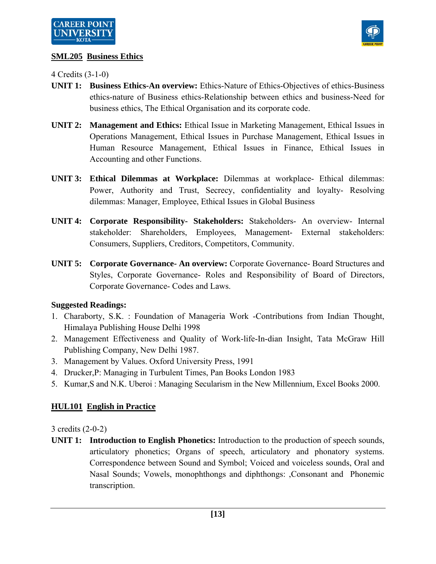

## **SML205 Business Ethics**

4 Credits (3-1-0)

- **UNIT 1: Business Ethics-An overview:** Ethics-Nature of Ethics-Objectives of ethics-Business ethics-nature of Business ethics-Relationship between ethics and business-Need for business ethics, The Ethical Organisation and its corporate code.
- **UNIT 2: Management and Ethics:** Ethical Issue in Marketing Management, Ethical Issues in Operations Management, Ethical Issues in Purchase Management, Ethical Issues in Human Resource Management, Ethical Issues in Finance, Ethical Issues in Accounting and other Functions.
- **UNIT 3: Ethical Dilemmas at Workplace:** Dilemmas at workplace- Ethical dilemmas: Power, Authority and Trust, Secrecy, confidentiality and loyalty- Resolving dilemmas: Manager, Employee, Ethical Issues in Global Business
- **UNIT 4: Corporate Responsibility- Stakeholders:** Stakeholders- An overview- Internal stakeholder: Shareholders, Employees, Management- External stakeholders: Consumers, Suppliers, Creditors, Competitors, Community.
- **UNIT 5: Corporate Governance- An overview:** Corporate Governance- Board Structures and Styles, Corporate Governance- Roles and Responsibility of Board of Directors, Corporate Governance- Codes and Laws.

## **Suggested Readings:**

- 1. Charaborty, S.K. : Foundation of Manageria Work -Contributions from Indian Thought, Himalaya Publishing House Delhi 1998
- 2. Management Effectiveness and Quality of Work-life-In-dian Insight, Tata McGraw Hill Publishing Company, New Delhi 1987.
- 3. Management by Values. Oxford University Press, 1991
- 4. Drucker,P: Managing in Turbulent Times, Pan Books London 1983
- 5. Kumar,S and N.K. Uberoi : Managing Secularism in the New Millennium, Excel Books 2000.

## **HUL101 English in Practice**

3 credits (2-0-2)

**UNIT 1: Introduction to English Phonetics:** Introduction to the production of speech sounds, articulatory phonetics; Organs of speech, articulatory and phonatory systems. Correspondence between Sound and Symbol; Voiced and voiceless sounds, Oral and Nasal Sounds; Vowels, monophthongs and diphthongs: ,Consonant and Phonemic transcription.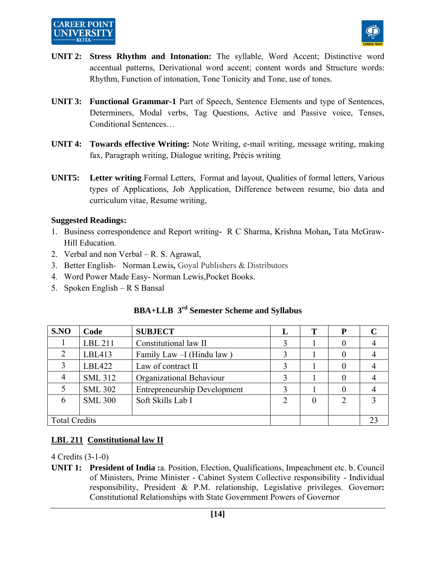# **CAREER POINT**



- **UNIT 2: Stress Rhythm and Intonation:** The syllable, Word Accent; Distinctive word accentual patterns, Derivational word accent; content words and Structure words: Rhythm, Function of intonation, Tone Tonicity and Tone, use of tones.
- **UNIT 3: Functional Grammar-1** Part of Speech, Sentence Elements and type of Sentences, Determiners, Modal verbs, Tag Questions, Active and Passive voice, Tenses, Conditional Sentences…
- **UNIT 4: Towards effective Writing:** Note Writing, e-mail writing, message writing, making fax, Paragraph writing, Dialogue writing, Précis writing
- **UNIT5: Letter writing** Formal Letters, Format and layout, Qualities of formal letters, Various types of Applications, Job Application, Difference between resume, bio data and curriculum vitae, Resume writing,

#### **Suggested Readings:**

- 1. Business correspondence and Report writingR C Sharma, Krishna Mohan**,** Tata McGraw-Hill Education.
- 2. Verbal and non Verbal R. S. Agrawal,
- 3. Better English- Norman Lewis**,** Goyal Publishers & Distributors
- 4. Word Power Made Easy- Norman Lewis,Pocket Books.
- 5. Spoken English R S Bansal

| S.NO                 | Code           | <b>SUBJECT</b>                      |   | Т | P                           | $\mathcal C$ |
|----------------------|----------------|-------------------------------------|---|---|-----------------------------|--------------|
|                      | LBL 211        | Constitutional law II               | 3 |   |                             |              |
| 2                    | LBL413         | Family Law - I (Hindu law)          | 3 |   |                             |              |
| 3                    | LBL422         | Law of contract II                  | 3 |   |                             |              |
| 4                    | <b>SML 312</b> | Organizational Behaviour            | 3 |   |                             |              |
|                      | <b>SML 302</b> | <b>Entrepreneurship Development</b> | 3 |   |                             |              |
| 6                    | <b>SML 300</b> | Soft Skills Lab I                   | 2 | 0 | $\mathcal{D}_{\mathcal{L}}$ |              |
|                      |                |                                     |   |   |                             |              |
| <b>Total Credits</b> |                |                                     |   |   |                             |              |

# **BBA+LLB 3rd Semester Scheme and Syllabus**

**LBL 211 Constitutional law II** 

4 Credits (3-1-0)

**UNIT 1: President of India :**a. Position, Election, Qualifications, Impeachment etc. b. Council of Ministers, Prime Minister - Cabinet System Collective responsibility - Individual responsibility, President & P.M. relationship, Legislative privileges. Governor**:**  Constitutional Relationships with State Government Powers of Governor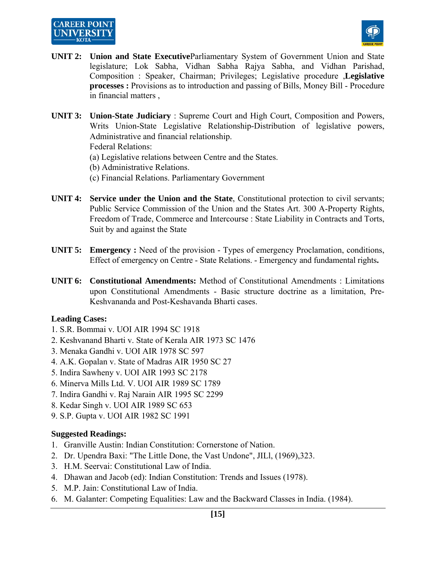## **CAREER POINT UNIVERSIT**



- **UNIT 2: Union and State Executive**Parliamentary System of Government Union and State legislature; Lok Sabha, Vidhan Sabha Rajya Sabha, and Vidhan Parishad, Composition : Speaker, Chairman; Privileges; Legislative procedure ,**Legislative processes :** Provisions as to introduction and passing of Bills, Money Bill - Procedure in financial matters ,
- **UNIT 3: Union-State Judiciary** : Supreme Court and High Court, Composition and Powers, Writs Union-State Legislative Relationship-Distribution of legislative powers, Administrative and financial relationship.

Federal Relations:

- (a) Legislative relations between Centre and the States.
- (b) Administrative Relations.
- (c) Financial Relations. Parliamentary Government
- **UNIT 4: Service under the Union and the State**, Constitutional protection to civil servants; Public Service Commission of the Union and the States Art. 300 A-Property Rights, Freedom of Trade, Commerce and Intercourse : State Liability in Contracts and Torts, Suit by and against the State
- **UNIT 5: Emergency :** Need of the provision Types of emergency Proclamation, conditions, Effect of emergency on Centre - State Relations. - Emergency and fundamental rights**.**
- **UNIT 6: Constitutional Amendments:** Method of Constitutional Amendments : Limitations upon Constitutional Amendments - Basic structure doctrine as a limitation, Pre-Keshvananda and Post-Keshavanda Bharti cases.

#### **Leading Cases:**

- 1. S.R. Bommai v. UOI AIR 1994 SC 1918
- 2. Keshvanand Bharti v. State of Kerala AIR 1973 SC 1476
- 3. Menaka Gandhi v. UOI AIR 1978 SC 597
- 4. A.K. Gopalan v. State of Madras AIR 1950 SC 27
- 5. Indira Sawheny v. UOI AIR 1993 SC 2178
- 6. Minerva Mills Ltd. V. UOI AIR 1989 SC 1789
- 7. Indira Gandhi v. Raj Narain AIR 1995 SC 2299
- 8. Kedar Singh v. UOI AIR 1989 SC 653
- 9. S.P. Gupta v. UOI AIR 1982 SC 1991

#### **Suggested Readings:**

- 1. Granville Austin: Indian Constitution: Cornerstone of Nation.
- 2. Dr. Upendra Baxi: "The Little Done, the Vast Undone", JILl, (1969),323.
- 3. H.M. Seervai: Constitutional Law of India.
- 4. Dhawan and Jacob (ed): Indian Constitution: Trends and Issues (1978).
- 5. M.P. Jain: Constitutional Law of India.
- 6. M. Galanter: Competing Equalities: Law and the Backward Classes in India. (1984).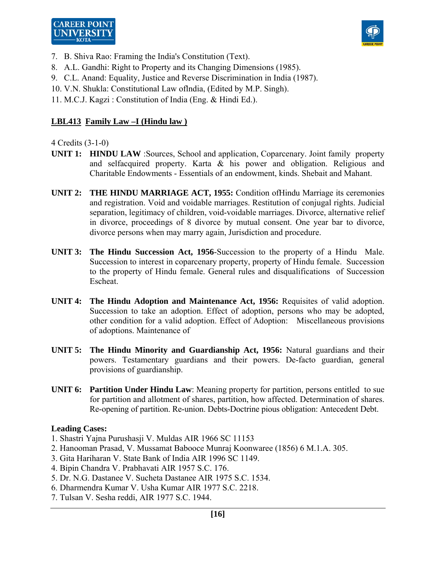



- 7. B. Shiva Rao: Framing the India's Constitution (Text).
- 8. A.L. Gandhi: Right to Property and its Changing Dimensions (1985).
- 9. C.L. Anand: Equality, Justice and Reverse Discrimination in India (1987).
- 10. V.N. Shukla: Constitutional Law oflndia, (Edited by M.P. Singh).

11. M.C.J. Kagzi : Constitution of India (Eng. & Hindi Ed.).

## **LBL413 Family Law –I (Hindu law )**

4 Credits (3-1-0)

- **UNIT 1: HINDU LAW** :Sources, School and application, Coparcenary. Joint family property and selfacquired property. Karta & his power and obligation. Religious and Charitable Endowments - Essentials of an endowment, kinds. Shebait and Mahant.
- **UNIT 2: THE HINDU MARRIAGE ACT, 1955:** Condition ofHindu Marriage its ceremonies and registration. Void and voidable marriages. Restitution of conjugal rights. Judicial separation, legitimacy of children, void-voidable marriages. Divorce, alternative relief in divorce, proceedings of 8 divorce by mutual consent. One year bar to divorce, divorce persons when may marry again, Jurisdiction and procedure.
- **UNIT 3: The Hindu Succession Act, 1956**-Succession to the property of a Hindu Male. Succession to interest in coparcenary property, property of Hindu female. Succession to the property of Hindu female. General rules and disqualifications of Succession Escheat.
- **UNIT 4: The Hindu Adoption and Maintenance Act, 1956:** Requisites of valid adoption. Succession to take an adoption. Effect of adoption, persons who may be adopted, other condition for a valid adoption. Effect of Adoption: Miscellaneous provisions of adoptions. Maintenance of
- **UNIT 5: The Hindu Minority and Guardianship Act, 1956:** Natural guardians and their powers. Testamentary guardians and their powers. De-facto guardian, general provisions of guardianship.
- **UNIT 6: Partition Under Hindu Law**: Meaning property for partition, persons entitled to sue for partition and allotment of shares, partition, how affected. Determination of shares. Re-opening of partition. Re-union. Debts-Doctrine pious obligation: Antecedent Debt.

#### **Leading Cases:**

- 1. Shastri Yajna Purushasji V. Muldas AIR 1966 SC 11153
- 2. Hanooman Prasad, V. Mussamat Babooce Munraj Koonwaree (1856) 6 M.1.A. 305.
- 3. Gita Hariharan V. State Bank of India AIR 1996 SC 1149.
- 4. Bipin Chandra V. Prabhavati AIR 1957 S.C. 176.
- 5. Dr. N.G. Dastanee V. Sucheta Dastanee AIR 1975 S.C. 1534.
- 6. Dharmendra Kumar V. Usha Kumar AIR 1977 S.C. 2218.
- 7. Tulsan V. Sesha reddi, AIR 1977 S.C. 1944.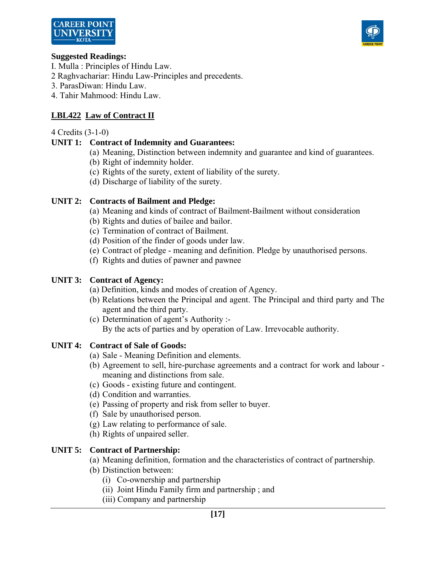



#### **Suggested Readings:**

- I. Mulla : Principles of Hindu Law.
- 2 Raghvachariar: Hindu Law-Principles and precedents.
- 3. ParasDiwan: Hindu Law.
- 4. Tahir Mahmood: Hindu Law.

## **LBL422 Law of Contract II**

#### 4 Credits (3-1-0)

## **UNIT 1: Contract of Indemnity and Guarantees:**

- (a) Meaning, Distinction between indemnity and guarantee and kind of guarantees.
- (b) Right of indemnity holder.
- (c) Rights of the surety, extent of liability of the surety.
- (d) Discharge of liability of the surety.

## **UNIT 2: Contracts of Bailment and Pledge:**

- (a) Meaning and kinds of contract of Bailment-Bailment without consideration
- (b) Rights and duties of bailee and bailor.
- (c) Termination of contract of Bailment.
- (d) Position of the finder of goods under law.
- (e) Contract of pledge meaning and definition. Pledge by unauthorised persons.
- (f) Rights and duties of pawner and pawnee

## **UNIT 3: Contract of Agency:**

- (a) Definition, kinds and modes of creation of Agency.
- (b) Relations between the Principal and agent. The Principal and third party and The agent and the third party.
- (c) Determination of agent's Authority :- By the acts of parties and by operation of Law. Irrevocable authority.

## **UNIT 4: Contract of Sale of Goods:**

- (a) Sale Meaning Definition and elements.
- (b) Agreement to sell, hire-purchase agreements and a contract for work and labour meaning and distinctions from sale.
- (c) Goods existing future and contingent.
- (d) Condition and warranties.
- (e) Passing of property and risk from seller to buyer.
- (f) Sale by unauthorised person.
- (g) Law relating to performance of sale.
- (h) Rights of unpaired seller.

## **UNIT 5: Contract of Partnership:**

- (a) Meaning definition, formation and the characteristics of contract of partnership.
- (b) Distinction between:
	- (i) Co-ownership and partnership
	- (ii) Joint Hindu Family firm and partnership ; and
	- (iii) Company and partnership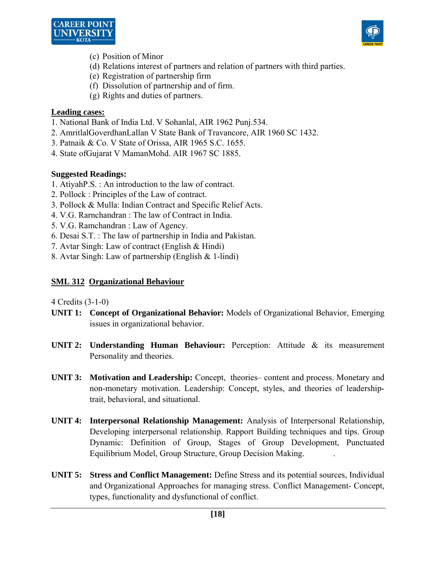



- (c) Position of Minor
- (d) Relations interest of partners and relation of partners with third parties.
- (e) Registration of partnership firm
- (f) Dissolution of partnership and of firm.
- (g) Rights and duties of partners.

## **Leading cases:**

- 1. National Bank of India Ltd. V Sohanlal, AIR 1962 Punj.534.
- 2. AmritlalGoverdhanLallan V State Bank of Travancore, AIR 1960 SC 1432.
- 3. Patnaik & Co. V State of Orissa, AIR 1965 S.C. 1655.
- 4. State ofGujarat V MamanMohd. AIR 1967 SC 1885.

## **Suggested Readings:**

- 1. AtiyahP.S. : An introduction to the law of contract.
- 2. Pollock : Principles of the Law of contract.
- 3. Pollock & Mulla: Indian Contract and Specific Relief Acts.
- 4. V.G. Rarnchandran : The law of Contract in India.
- 5. V.G. Ramchandran : Law of Agency.
- 6. Desai S.T. : The law of partnership in India and Pakistan.
- 7. Avtar Singh: Law of contract (English & Hindi)
- 8. Avtar Singh: Law of partnership (English & 1-lindi)

## **SML 312 Organizational Behaviour**

- **UNIT 1: Concept of Organizational Behavior:** Models of Organizational Behavior, Emerging issues in organizational behavior.
- **UNIT 2: Understanding Human Behaviour:** Perception: Attitude & its measurement Personality and theories.
- **UNIT 3: Motivation and Leadership:** Concept, theories– content and process. Monetary and non-monetary motivation. Leadership: Concept, styles, and theories of leadershiptrait, behavioral, and situational.
- **UNIT 4: Interpersonal Relationship Management:** Analysis of Interpersonal Relationship, Developing interpersonal relationship. Rapport Building techniques and tips. Group Dynamic: Definition of Group, Stages of Group Development, Punctuated Equilibrium Model, Group Structure, Group Decision Making. .
- **UNIT 5: Stress and Conflict Management:** Define Stress and its potential sources, Individual and Organizational Approaches for managing stress. Conflict Management- Concept, types, functionality and dysfunctional of conflict.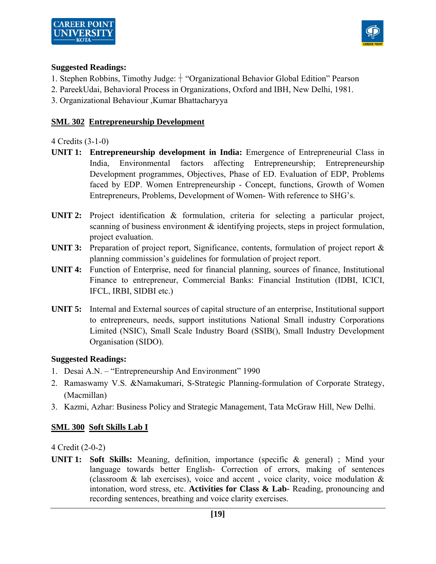

## **Suggested Readings:**

- 1. Stephen Robbins, Timothy Judge: "Organizational Behavior Global Edition" Pearson
- 2. PareekUdai, Behavioral Process in Organizations, Oxford and IBH, New Delhi, 1981.
- 3. Organizational Behaviour ,Kumar Bhattacharyya

## **SML 302 Entrepreneurship Development**

## 4 Credits (3-1-0)

- **UNIT 1: Entrepreneurship development in India:** Emergence of Entrepreneurial Class in India, Environmental factors affecting Entrepreneurship; Entrepreneurship Development programmes, Objectives, Phase of ED. Evaluation of EDP, Problems faced by EDP. Women Entrepreneurship - Concept, functions, Growth of Women Entrepreneurs, Problems, Development of Women- With reference to SHG's.
- **UNIT 2:** Project identification & formulation, criteria for selecting a particular project, scanning of business environment & identifying projects, steps in project formulation, project evaluation.
- **UNIT 3:** Preparation of project report, Significance, contents, formulation of project report & planning commission's guidelines for formulation of project report.
- **UNIT 4:** Function of Enterprise, need for financial planning, sources of finance, Institutional Finance to entrepreneur, Commercial Banks: Financial Institution (IDBI, ICICI, IFCL, IRBI, SIDBI etc.)
- **UNIT 5:** Internal and External sources of capital structure of an enterprise, Institutional support to entrepreneurs, needs, support institutions National Small industry Corporations Limited (NSIC), Small Scale Industry Board (SSIB(), Small Industry Development Organisation (SIDO).

## **Suggested Readings:**

- 1. Desai A.N. "Entrepreneurship And Environment" 1990
- 2. Ramaswamy V.S. &Namakumari, S-Strategic Planning-formulation of Corporate Strategy, (Macmillan)
- 3. Kazmi, Azhar: Business Policy and Strategic Management, Tata McGraw Hill, New Delhi.

## **SML 300 Soft Skills Lab I**

4 Credit (2-0-2)

**UNIT 1: Soft Skills:** Meaning, definition, importance (specific & general) ; Mind your language towards better English- Correction of errors, making of sentences (classroom  $\&$  lab exercises), voice and accent, voice clarity, voice modulation  $\&$ intonation, word stress, etc. **Activities for Class & Lab-** Reading, pronouncing and recording sentences, breathing and voice clarity exercises.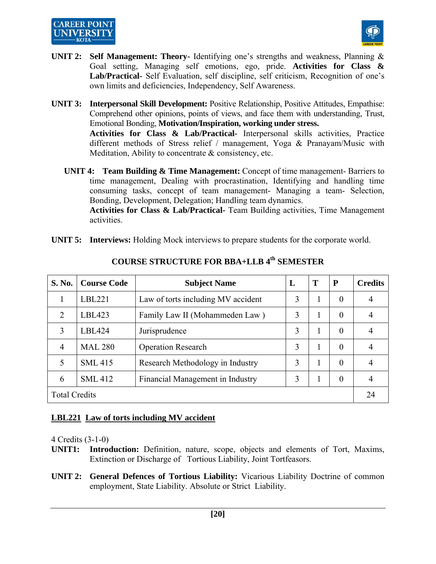

- **UNIT 2: Self Management: Theory-** Identifying one's strengths and weakness, Planning & Goal setting, Managing self emotions, ego, pride. **Activities for Class & Lab/Practical-** Self Evaluation, self discipline, self criticism, Recognition of one's own limits and deficiencies, Independency, Self Awareness.
- **UNIT 3: Interpersonal Skill Development:** Positive Relationship, Positive Attitudes, Empathise: Comprehend other opinions, points of views, and face them with understanding, Trust, Emotional Bonding, **Motivation/Inspiration, working under stress.**

 **Activities for Class & Lab/Practical-** Interpersonal skills activities, Practice different methods of Stress relief / management, Yoga & Pranayam/Music with Meditation, Ability to concentrate & consistency, etc.

**UNIT 4: Team Building & Time Management:** Concept of time management- Barriers to time management, Dealing with procrastination, Identifying and handling time consuming tasks, concept of team management- Managing a team- Selection, Bonding, Development, Delegation; Handling team dynamics.

 **Activities for Class & Lab/Practical-** Team Building activities, Time Management activities.

**UNIT 5: Interviews:** Holding Mock interviews to prepare students for the corporate world.

| S. No.               | <b>Course Code</b> | <b>Subject Name</b>                | L | T | P              | <b>Credits</b> |
|----------------------|--------------------|------------------------------------|---|---|----------------|----------------|
|                      | LBL221             | Law of torts including MV accident | 3 |   | $\overline{0}$ | 4              |
| $\mathfrak{D}$       | LBL423             | Family Law II (Mohammeden Law)     | 3 | ı | $\Omega$       |                |
| 3                    | LBL424             | Jurisprudence                      | 3 |   | $\theta$       |                |
| $\overline{4}$       | <b>MAL 280</b>     | <b>Operation Research</b>          | 3 |   | $\overline{0}$ | 4              |
| 5                    | <b>SML 415</b>     | Research Methodology in Industry   | 3 |   | $\Omega$       |                |
| 6                    | <b>SML 412</b>     | Financial Management in Industry   | 3 |   | $\theta$       |                |
| <b>Total Credits</b> |                    |                                    |   |   |                |                |

## **COURSE STRUCTURE FOR BBA+LLB 4th SEMESTER**

## **LBL221 Law of torts including MV accident**

- **UNIT1: Introduction:** Definition, nature, scope, objects and elements of Tort, Maxims, Extinction or Discharge of Tortious Liability, Joint Tortfeasors.
- **UNIT 2: General Defences of Tortious Liability:** Vicarious Liability Doctrine of common employment, State Liability. Absolute or Strict Liability.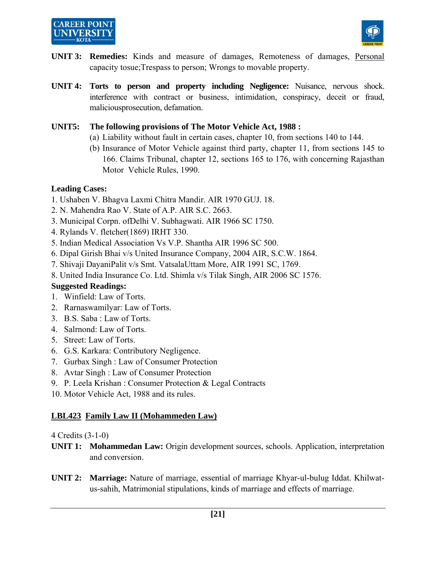# **CAREER POINT**



- **UNIT 3: Remedies:** Kinds and measure of damages, Remoteness of damages, Personal capacity tosue;Trespass to person; Wrongs to movable property.
- **UNIT 4: Torts to person and property including Negligence:** Nuisance, nervous shock. interference with contract or business, intimidation, conspiracy, deceit or fraud, maliciousprosecution, defamation.

## **UNIT5: The following provisions of The Motor Vehicle Act, 1988 :**

- (a) Liability without fault in certain cases, chapter 10, from sections 140 to 144.
- (b) Insurance of Motor Vehicle against third party, chapter 11, from sections 145 to 166. Claims Tribunal, chapter 12, sections 165 to 176, with concerning Rajasthan Motor Vehicle Rules, 1990.

## **Leading Cases:**

- 1. Ushaben V. Bhagva Laxmi Chitra Mandir. AIR 1970 GUJ. 18.
- 2. N. Mahendra Rao V. State of A.P. AIR S.C. 2663.
- 3. Municipal Corpn. ofDelhi V. Subhagwati. AIR 1966 SC 1750.
- 4. Rylands V. fletcher(1869) IRHT 330.
- 5. Indian Medical Association Vs V.P. Shantha AIR 1996 SC 500.
- 6. Dipal Girish Bhai v/s United Insurance Company, 2004 AIR, S.C.W. 1864.
- 7. Shivaji DayaniPalit v/s Smt. VatsalaUttam More, AIR 1991 SC, 1769.
- 8. United India Insurance Co. Ltd. Shimla v/s Tilak Singh, AIR 2006 SC 1576.

## **Suggested Readings:**

- 1. Winfield: Law of Torts.
- 2. Rarnaswamilyar: Law of Torts.
- 3. B.S. Saba : Law of Torts.
- 4. Salrnond: Law of Torts.
- 5. Street: Law of Torts.
- 6. G.S. Karkara: Contributory Negligence.
- 7. Gurbax Singh : Law of Consumer Protection
- 8. Avtar Singh : Law of Consumer Protection
- 9. P. Leela Krishan : Consumer Protection & Legal Contracts
- 10. Motor Vehicle Act, 1988 and its rules.

## **LBL423 Family Law II (Mohammeden Law)**

- **UNIT 1: Mohammedan Law:** Origin development sources, schools. Application, interpretation and conversion.
- **UNIT 2: Marriage:** Nature of marriage, essential of marriage Khyar-ul-bulug Iddat. Khilwatus-sahih, Matrimonial stipulations, kinds of marriage and effects of marriage.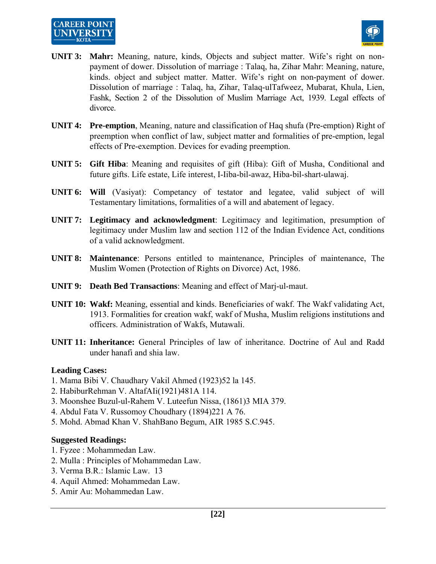

- **UNIT 3: Mahr:** Meaning, nature, kinds, Objects and subject matter. Wife's right on nonpayment of dower. Dissolution of marriage : Talaq, ha, Zihar Mahr: Meaning, nature, kinds. object and subject matter. Matter. Wife's right on non-payment of dower. Dissolution of marriage : Talaq, ha, Zihar, Talaq-ulTafweez, Mubarat, Khula, Lien, Fashk, Section 2 of the Dissolution of Muslim Marriage Act, 1939. Legal effects of divorce.
- **UNIT 4: Pre-emption**, Meaning, nature and classification of Haq shufa (Pre-emption) Right of preemption when conflict of law, subject matter and formalities of pre-emption, legal effects of Pre-exemption. Devices for evading preemption.
- **UNIT 5: Gift Hiba**: Meaning and requisites of gift (Hiba): Gift of Musha, Conditional and future gifts. Life estate, Life interest, I-Iiba-bil-awaz, Hiba-bil-shart-ulawaj.
- **UNIT 6: Will** (Vasiyat): Competancy of testator and legatee, valid subject of will Testamentary limitations, formalities of a will and abatement of legacy.
- **UNIT 7: Legitimacy and acknowledgment**: Legitimacy and legitimation, presumption of legitimacy under Muslim law and section 112 of the Indian Evidence Act, conditions of a valid acknowledgment.
- **UNIT 8: Maintenance**: Persons entitled to maintenance, Principles of maintenance, The Muslim Women (Protection of Rights on Divorce) Act, 1986.
- **UNIT 9: Death Bed Transactions**: Meaning and effect of Marj-ul-maut.
- **UNIT 10: Wakf:** Meaning, essential and kinds. Beneficiaries of wakf. The Wakf validating Act, 1913. Formalities for creation wakf, wakf of Musha, Muslim religions institutions and officers. Administration of Wakfs, Mutawali.
- **UNIT 11: Inheritance:** General Principles of law of inheritance. Doctrine of Aul and Radd under hanafi and shia law.

#### **Leading Cases:**

- 1. Mama Bibi V. Chaudhary Vakil Ahmed (1923)52 la 145.
- 2. HabiburRehman V. AltafAIi(1921)481A 114.
- 3. Moonshee Buzul-ul-Rahem V. Luteefun Nissa, (1861)3 MIA 379.
- 4. Abdul Fata V. Russomoy Choudhary (1894)221 A 76.
- 5. Mohd. Abmad Khan V. ShahBano Begum, AIR 1985 S.C.945.

#### **Suggested Readings:**

- 1. Fyzee : Mohammedan Law.
- 2. Mulla : Principles of Mohammedan Law.
- 3. Verma B.R.: Islamic Law. 13
- 4. Aquil Ahmed: Mohammedan Law.
- 5. Amir Au: Mohammedan Law.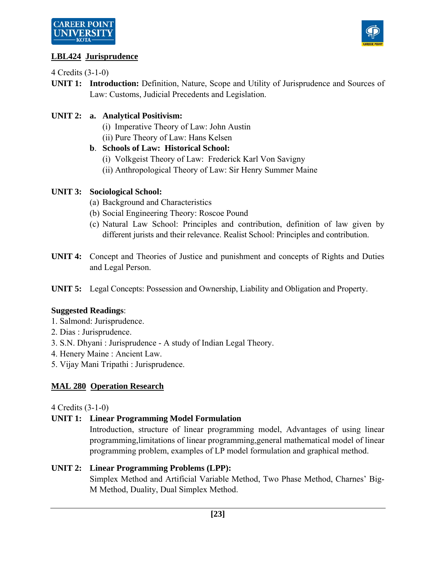



## **LBL424 Jurisprudence**

4 Credits (3-1-0)

**UNIT 1: Introduction:** Definition, Nature, Scope and Utility of Jurisprudence and Sources of Law: Customs, Judicial Precedents and Legislation.

## **UNIT 2: a. Analytical Positivism:**

- (i) Imperative Theory of Law: John Austin
- (ii) Pure Theory of Law: Hans Kelsen

## **b**. **Schools of Law: Historical School:**

- (i) Volkgeist Theory of Law: Frederick Karl Von Savigny
- (ii) Anthropological Theory of Law: Sir Henry Summer Maine

## **UNIT 3: Sociological School:**

- (a) Background and Characteristics
- (b) Social Engineering Theory: Roscoe Pound
- (c) Natural Law School: Principles and contribution, definition of law given by different jurists and their relevance. Realist School: Principles and contribution.
- **UNIT 4:** Concept and Theories of Justice and punishment and concepts of Rights and Duties and Legal Person.
- **UNIT 5:** Legal Concepts: Possession and Ownership, Liability and Obligation and Property.

## **Suggested Readings**:

- 1. Salmond: Jurisprudence.
- 2. Dias : Jurisprudence.
- 3. S.N. Dhyani : Jurisprudence A study of Indian Legal Theory.
- 4. Henery Maine : Ancient Law.
- 5. Vijay Mani Tripathi : Jurisprudence.

## **MAL 280 Operation Research**

## 4 Credits (3-1-0)

## **UNIT 1: Linear Programming Model Formulation**

 Introduction, structure of linear programming model, Advantages of using linear programming,limitations of linear programming,general mathematical model of linear programming problem, examples of LP model formulation and graphical method.

## **UNIT 2: Linear Programming Problems (LPP):**

 Simplex Method and Artificial Variable Method, Two Phase Method, Charnes' Big-M Method, Duality, Dual Simplex Method.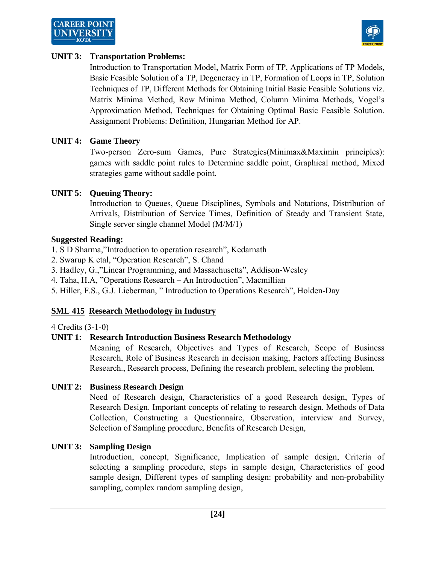



#### **UNIT 3: Transportation Problems:**

 Introduction to Transportation Model, Matrix Form of TP, Applications of TP Models, Basic Feasible Solution of a TP, Degeneracy in TP, Formation of Loops in TP, Solution Techniques of TP, Different Methods for Obtaining Initial Basic Feasible Solutions viz. Matrix Minima Method, Row Minima Method, Column Minima Methods, Vogel's Approximation Method, Techniques for Obtaining Optimal Basic Feasible Solution. Assignment Problems: Definition, Hungarian Method for AP.

#### **UNIT 4: Game Theory**

 Two-person Zero-sum Games, Pure Strategies(Minimax&Maximin principles): games with saddle point rules to Determine saddle point, Graphical method, Mixed strategies game without saddle point.

#### **UNIT 5: Queuing Theory:**

 Introduction to Queues, Queue Disciplines, Symbols and Notations, Distribution of Arrivals, Distribution of Service Times, Definition of Steady and Transient State, Single server single channel Model (M/M/1)

#### **Suggested Reading:**

- 1. S D Sharma,"Introduction to operation research", Kedarnath
- 2. Swarup K etal, "Operation Research", S. Chand
- 3. Hadley, G.,"Linear Programming, and Massachusetts", Addison-Wesley
- 4. Taha, H.A, "Operations Research An Introduction", Macmillian
- 5. Hiller, F.S., G.J. Lieberman, " Introduction to Operations Research", Holden-Day

#### **SML 415 Research Methodology in Industry**

4 Credits (3-1-0)

#### **UNIT 1: Research Introduction Business Research Methodology**

 Meaning of Research, Objectives and Types of Research, Scope of Business Research, Role of Business Research in decision making, Factors affecting Business Research., Research process, Defining the research problem, selecting the problem.

#### **UNIT 2: Business Research Design**

 Need of Research design, Characteristics of a good Research design, Types of Research Design. Important concepts of relating to research design. Methods of Data Collection, Constructing a Questionnaire, Observation, interview and Survey, Selection of Sampling procedure, Benefits of Research Design,

#### **UNIT 3: Sampling Design**

 Introduction, concept, Significance, Implication of sample design, Criteria of selecting a sampling procedure, steps in sample design, Characteristics of good sample design, Different types of sampling design: probability and non-probability sampling, complex random sampling design,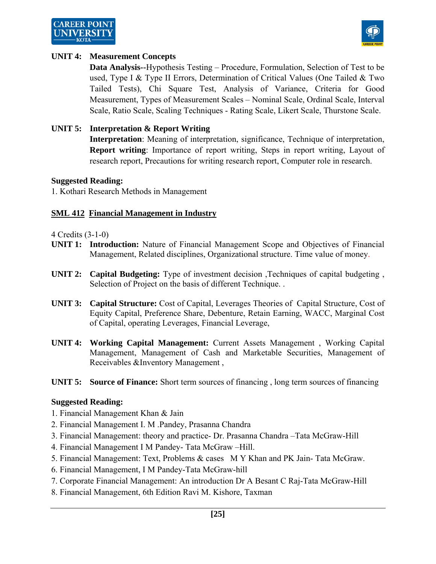



#### **UNIT 4: Measurement Concepts**

 **Data Analysis--**Hypothesis Testing – Procedure, Formulation, Selection of Test to be used, Type I & Type II Errors, Determination of Critical Values (One Tailed & Two Tailed Tests), Chi Square Test, Analysis of Variance, Criteria for Good Measurement, Types of Measurement Scales – Nominal Scale, Ordinal Scale, Interval Scale, Ratio Scale, Scaling Techniques - Rating Scale, Likert Scale, Thurstone Scale.

#### **UNIT 5: Interpretation & Report Writing**

 **Interpretation**: Meaning of interpretation, significance, Technique of interpretation, **Report writing**: Importance of report writing, Steps in report writing, Layout of research report, Precautions for writing research report, Computer role in research.

#### **Suggested Reading:**

1. Kothari Research Methods in Management

#### **SML 412 Financial Management in Industry**

4 Credits (3-1-0)

- **UNIT 1: Introduction:** Nature of Financial Management Scope and Objectives of Financial Management, Related disciplines, Organizational structure. Time value of money.
- **UNIT 2:** Capital Budgeting: Type of investment decision ,Techniques of capital budgeting , Selection of Project on the basis of different Technique. .
- **UNIT 3: Capital Structure:** Cost of Capital, Leverages Theories of Capital Structure, Cost of Equity Capital, Preference Share, Debenture, Retain Earning, WACC, Marginal Cost of Capital, operating Leverages, Financial Leverage,
- **UNIT 4: Working Capital Management:** Current Assets Management , Working Capital Management, Management of Cash and Marketable Securities, Management of Receivables &Inventory Management ,
- **UNIT 5:** Source of Finance: Short term sources of financing, long term sources of financing

#### **Suggested Reading:**

- 1. Financial Management Khan & Jain
- 2. Financial Management I. M .Pandey, Prasanna Chandra
- 3. Financial Management: theory and practice- Dr. Prasanna Chandra –Tata McGraw-Hill
- 4. Financial Management I M Pandey- Tata McGraw –Hill.
- 5. Financial Management: Text, Problems & cases M Y Khan and PK Jain- Tata McGraw.
- 6. Financial Management, I M Pandey-Tata McGraw-hill
- 7. Corporate Financial Management: An introduction Dr A Besant C Raj-Tata McGraw-Hill
- 8. Financial Management, 6th Edition Ravi M. Kishore, Taxman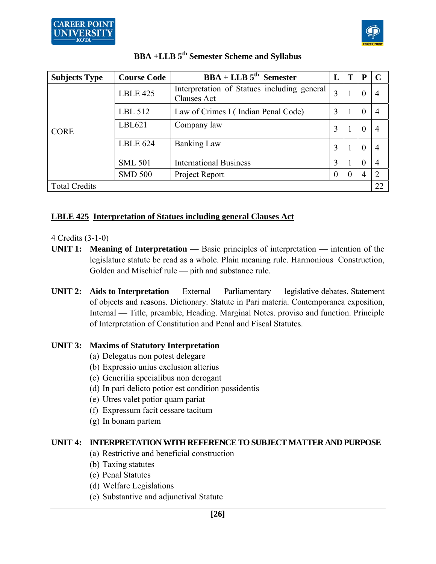

| <b>Subjects Type</b> | <b>Course Code</b>                              | $BBA + LLB$ 5 <sup>th</sup> Semester                       | L | Т        | P        |    |
|----------------------|-------------------------------------------------|------------------------------------------------------------|---|----------|----------|----|
|                      | <b>LBLE 425</b>                                 | Interpretation of Statues including general<br>Clauses Act | 3 |          | $\theta$ |    |
|                      | LBL 512                                         | Law of Crimes I (Indian Penal Code)                        | 3 | -1       | $\Omega$ |    |
| <b>CORE</b>          | LBL621                                          | Company law                                                | 3 |          | $\theta$ |    |
|                      | <b>LBLE 624</b>                                 | <b>Banking Law</b>                                         | 3 | 1        | $\theta$ |    |
|                      | <b>International Business</b><br><b>SML 501</b> |                                                            | 3 |          | 0        | 4  |
|                      | <b>SMD 500</b>                                  | Project Report<br>$\Omega$                                 |   | $\theta$ |          |    |
| <b>Total Credits</b> |                                                 |                                                            |   |          |          | 22 |

# **BBA +LLB 5th Semester Scheme and Syllabus**

## **LBLE 425 Interpretation of Statues including general Clauses Act**

## 4 Credits (3-1-0)

- **UNIT 1: Meaning of Interpretation** Basic principles of interpretation intention of the legislature statute be read as a whole. Plain meaning rule. Harmonious Construction, Golden and Mischief rule — pith and substance rule.
- **UNIT 2:** Aids to Interpretation External Parliamentary legislative debates. Statement of objects and reasons. Dictionary. Statute in Pari materia. Contemporanea exposition, Internal — Title, preamble, Heading. Marginal Notes. proviso and function. Principle of Interpretation of Constitution and Penal and Fiscal Statutes.

## **UNIT 3: Maxims of Statutory Interpretation**

- (a) Delegatus non potest delegare
- (b) Expressio unius exclusion alterius
- (c) Generilia specialibus non derogant
- (d) In pari delicto potior est condition possidentis
- (e) Utres valet potior quam pariat
- (f) Expressum facit cessare tacitum
- (g) In bonam partem

## **UNIT 4: INTERPRETATION WITH REFERENCE TO SUBJECT MATTER AND PURPOSE**

- (a) Restrictive and beneficial construction
- (b) Taxing statutes
- (c) Penal Statutes
- (d) Welfare Legislations
- (e) Substantive and adjunctival Statute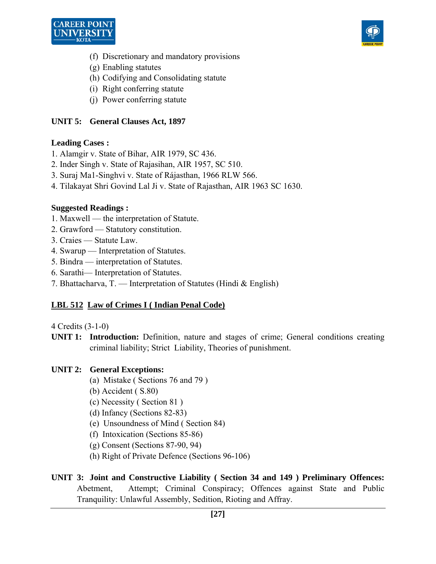



- (f) Discretionary and mandatory provisions
- (g) Enabling statutes
- (h) Codifying and Consolidating statute
- (i) Right conferring statute
- (j) Power conferring statute

## **UNIT 5: General Clauses Act, 1897**

#### **Leading Cases :**

- 1. Alamgir v. State of Bihar, AIR 1979, SC 436.
- 2. Inder Singh v. State of Rajasihan, AIR 1957, SC 510.
- 3. Suraj Ma1-Singhvi v. State of Rájasthan, 1966 RLW 566.
- 4. Tilakayat Shri Govind Lal Ji v. State of Rajasthan, AIR 1963 SC 1630.

#### **Suggested Readings :**

- 1. Maxwell the interpretation of Statute.
- 2. Grawford Statutory constitution.
- 3. Craies Statute Law.
- 4. Swarup Interpretation of Statutes.
- 5. Bindra interpretation of Statutes.
- 6. Sarathi— Interpretation of Statutes.
- 7. Bhattacharva, T. Interpretation of Statutes (Hindi & English)

#### **LBL 512 Law of Crimes I ( Indian Penal Code)**

4 Credits (3-1-0)

**UNIT 1: Introduction:** Definition, nature and stages of crime; General conditions creating criminal liability; Strict Liability, Theories of punishment.

#### **UNIT 2: General Exceptions:**

- (a) Mistake ( Sections 76 and 79 )
- (b) Accident ( S.80)
- (c) Necessity ( Section 81 )
- (d) Infancy (Sections 82-83)
- (e) Unsoundness of Mind ( Section 84)
- (f) Intoxication (Sections 85-86)
- (g) Consent (Sections 87-90, 94)
- (h) Right of Private Defence (Sections 96-106)
- **UNIT 3: Joint and Constructive Liability ( Section 34 and 149 ) Preliminary Offences:** Abetment, Attempt; Criminal Conspiracy; Offences against State and Public Tranquility: Unlawful Assembly, Sedition, Rioting and Affray.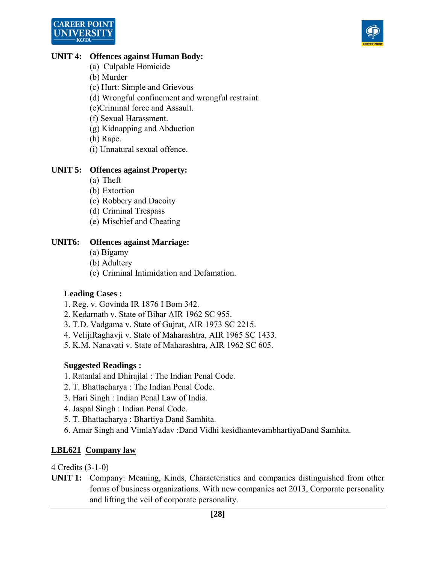



#### **UNIT 4: Offences against Human Body:**

- (a) Culpable Homicide
- (b) Murder
- (c) Hurt: Simple and Grievous
- (d) Wrongful confinement and wrongful restraint.
- (e)Criminal force and Assault.
- (f) Sexual Harassment.
- (g) Kidnapping and Abduction
- (h) Rape.
- (i) Unnatural sexual offence.

## **UNIT 5: Offences against Property:**

- (a) Theft
- (b) Extortion
- (c) Robbery and Dacoity
- (d) Criminal Trespass
- (e) Mischief and Cheating

## **UNIT6: Offences against Marriage:**

- (a) Bigamy
- (b) Adultery
- (c) Criminal Intimidation and Defamation.

#### **Leading Cases :**

- 1. Reg. v. Govinda IR 1876 I Bom 342.
- 2. Kedarnath v. State of Bihar AIR 1962 SC 955.
- 3. T.D. Vadgama v. State of Gujrat, AIR 1973 SC 2215.
- 4. VelijiRaghavji v. State of Maharashtra, AIR 1965 SC 1433.
- 5. K.M. Nanavati v. State of Maharashtra, AIR 1962 SC 605.

## **Suggested Readings :**

- 1. Ratanlal and Dhirajlal : The Indian Penal Code.
- 2. T. Bhattacharya : The Indian Penal Code.
- 3. Hari Singh : Indian Penal Law of India.
- 4. Jaspal Singh : Indian Penal Code.
- 5. T. Bhattacharya : Bhartiya Dand Samhita.
- 6. Amar Singh and VimlaYadav :Dand Vidhi kesidhantevambhartiyaDand Samhita.

## **LBL621 Company law**

4 Credits (3-1-0)

**UNIT 1:** Company: Meaning, Kinds, Characteristics and companies distinguished from other forms of business organizations. With new companies act 2013, Corporate personality and lifting the veil of corporate personality.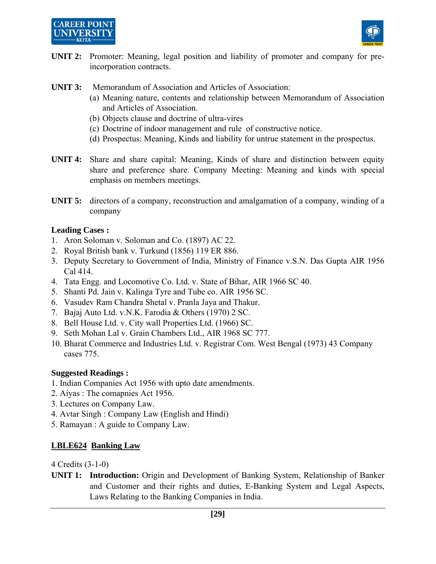



- **UNIT 2:** Promoter: Meaning, legal position and liability of promoter and company for preincorporation contracts.
- **UNIT 3:** Memorandum of Association and Articles of Association:
	- (a) Meaning nature, contents and relationship between Memorandum of Association and Articles of Association.
	- (b) Objects clause and doctrine of ultra-vires
	- (c) Doctrine of indoor management and rule of constructive notice.
	- (d) Prospectus: Meaning, Kinds and liability for untrue statement in the prospectus.
- **UNIT 4:** Share and share capital: Meaning, Kinds of share and distinction between equity share and preference share. Company Meeting: Meaning and kinds with special emphasis on members meetings.
- **UNIT 5:** directors of a company, reconstruction and amalgamation of a company, winding of a company

#### **Leading Cases :**

- 1. Aron Soloman v. Soloman and Co. (1897) AC 22.
- 2. Royal British bank v. Turkund (1856) 119 ER 886.
- 3. Deputy Secretary to Government of India, Ministry of Finance v.S.N. Das Gupta AIR 1956 Cal 414.
- 4. Tata Engg. and Locomotive Co. Ltd. v. State of Bihar, AIR 1966 SC 40.
- 5. Shanti Pd. Jain v. Kalinga Tyre and Tube co. AIR 1956 SC.
- 6. Vasudev Ram Chandra Shetal v. Pranla Jaya and Thakur.
- 7. Bajaj Auto Ltd. v.N.K. Farodia & Others (1970) 2 SC.
- 8. Bell House Ltd. v. City wall Properties Ltd. (1966) SC.
- 9. Seth Mohan Lal v. Grain Chambers Ltd., AIR 1968 SC 777.
- 10. Bharat Commerce and Industries Ltd. v. Registrar Com. West Bengal (1973) 43 Company cases 775.

#### **Suggested Readings :**

- 1. Indian Companies Act 1956 with upto date amendments.
- 2. Aiyas : The comapnies Act 1956.
- 3. Lectures on Company Law.
- 4. Avtar Singh : Company Law (English and Hindi)
- 5. Ramayan : A guide to Company Law.

#### **LBLE624 Banking Law**

4 Credits (3-1-0)

**UNIT 1: Introduction:** Origin and Development of Banking System, Relationship of Banker and Customer and their rights and duties, E-Banking System and Legal Aspects, Laws Relating to the Banking Companies in India.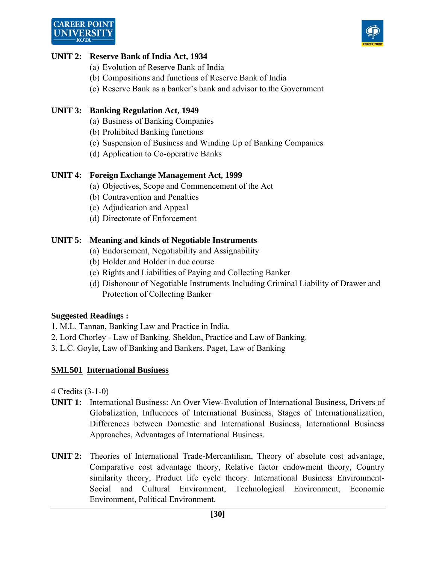# **CAREER POINT**



## **UNIT 2: Reserve Bank of India Act, 1934**

- (a) Evolution of Reserve Bank of India
- (b) Compositions and functions of Reserve Bank of India
- (c) Reserve Bank as a banker's bank and advisor to the Government

## **UNIT 3: Banking Regulation Act, 1949**

- (a) Business of Banking Companies
- (b) Prohibited Banking functions
- (c) Suspension of Business and Winding Up of Banking Companies
- (d) Application to Co-operative Banks

## **UNIT 4: Foreign Exchange Management Act, 1999**

- (a) Objectives, Scope and Commencement of the Act
- (b) Contravention and Penalties
- (c) Adjudication and Appeal
- (d) Directorate of Enforcement

## **UNIT 5: Meaning and kinds of Negotiable Instruments**

- (a) Endorsement, Negotiability and Assignability
- (b) Holder and Holder in due course
- (c) Rights and Liabilities of Paying and Collecting Banker
- (d) Dishonour of Negotiable Instruments Including Criminal Liability of Drawer and Protection of Collecting Banker

## **Suggested Readings :**

- 1. M.L. Tannan, Banking Law and Practice in India.
- 2. Lord Chorley Law of Banking. Sheldon, Practice and Law of Banking.
- 3. L.C. Goyle, Law of Banking and Bankers. Paget, Law of Banking

## **SML501 International Business**

- **UNIT 1:** International Business: An Over View-Evolution of International Business, Drivers of Globalization, Influences of International Business, Stages of Internationalization, Differences between Domestic and International Business, International Business Approaches, Advantages of International Business.
- **UNIT 2:** Theories of International Trade-Mercantilism, Theory of absolute cost advantage, Comparative cost advantage theory, Relative factor endowment theory, Country similarity theory, Product life cycle theory. International Business Environment-Social and Cultural Environment, Technological Environment, Economic Environment, Political Environment.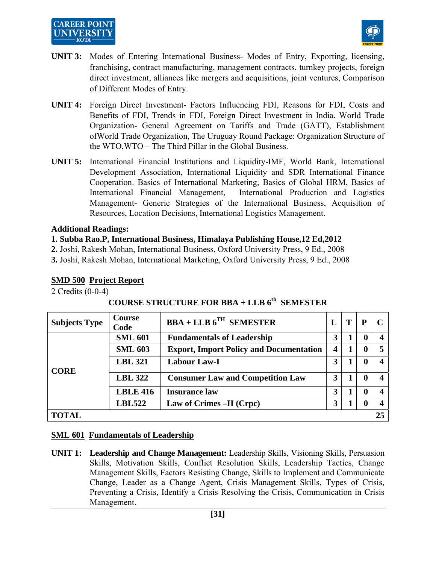## **CAREER POINT** UNIVERSIT



- **UNIT 3:** Modes of Entering International Business- Modes of Entry, Exporting, licensing, franchising, contract manufacturing, management contracts, turnkey projects, foreign direct investment, alliances like mergers and acquisitions, joint ventures, Comparison of Different Modes of Entry.
- **UNIT 4:** Foreign Direct Investment- Factors Influencing FDI, Reasons for FDI, Costs and Benefits of FDI, Trends in FDI, Foreign Direct Investment in India. World Trade Organization- General Agreement on Tariffs and Trade (GATT), Establishment ofWorld Trade Organization, The Uruguay Round Package: Organization Structure of the WTO,WTO – The Third Pillar in the Global Business.
- **UNIT 5:** International Financial Institutions and Liquidity-IMF, World Bank, International Development Association, International Liquidity and SDR International Finance Cooperation. Basics of International Marketing, Basics of Global HRM, Basics of International Financial Management, International Production and Logistics Management- Generic Strategies of the International Business, Acquisition of Resources, Location Decisions, International Logistics Management.

#### **Additional Readings:**

#### **1. Subba Rao.P, International Business, Himalaya Publishing House,12 Ed,2012**

**2.** Joshi, Rakesh Mohan, International Business, Oxford University Press, 9 Ed., 2008

**3.** Joshi, Rakesh Mohan, International Marketing, Oxford University Press, 9 Ed., 2008

## **SMD 500 Project Report**

2 Credits (0-0-4)

## **COURSE STRUCTURE FOR BBA + LLB 6th SEMESTER**

| <b>Subjects Type</b> | <b>Course</b><br>Code | $BBA + LLB$ $6^{TH}$ SEMESTER                  | L |  | P            |  |  |
|----------------------|-----------------------|------------------------------------------------|---|--|--------------|--|--|
|                      | <b>SML 601</b>        | <b>Fundamentals of Leadership</b>              | 3 |  | $\mathbf 0$  |  |  |
|                      | <b>SML 603</b>        | <b>Export, Import Policy and Documentation</b> |   |  | $\mathbf{0}$ |  |  |
| <b>CORE</b>          | <b>LBL 321</b>        | <b>Labour Law-I</b>                            | 3 |  | $\mathbf{0}$ |  |  |
|                      | <b>LBL 322</b>        | <b>Consumer Law and Competition Law</b>        | 3 |  | $\mathbf{0}$ |  |  |
|                      | <b>LBLE 416</b>       | <b>Insurance law</b>                           | 3 |  | 0            |  |  |
|                      | <b>LBL522</b>         | Law of Crimes -II (Crpc)                       | 3 |  | $\mathbf 0$  |  |  |
| <b>TOTAL</b><br>25   |                       |                                                |   |  |              |  |  |

#### **SML 601 Fundamentals of Leadership**

**UNIT 1: Leadership and Change Management:** Leadership Skills, Visioning Skills, Persuasion Skills, Motivation Skills, Conflict Resolution Skills, Leadership Tactics, Change Management Skills, Factors Resisting Change, Skills to Implement and Communicate Change, Leader as a Change Agent, Crisis Management Skills, Types of Crisis, Preventing a Crisis, Identify a Crisis Resolving the Crisis, Communication in Crisis Management.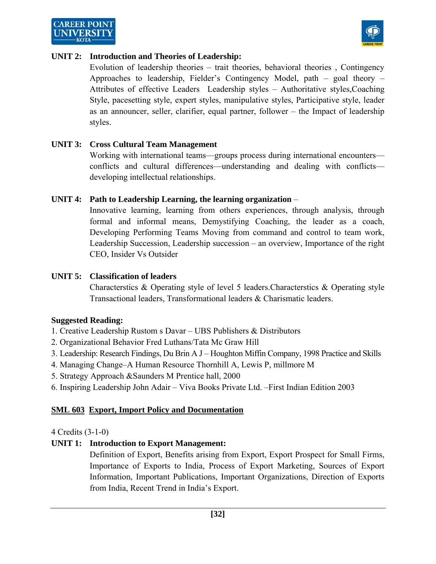



#### **UNIT 2: Introduction and Theories of Leadership:**

 Evolution of leadership theories – trait theories, behavioral theories , Contingency Approaches to leadership, Fielder's Contingency Model, path – goal theory – Attributes of effective Leaders Leadership styles – Authoritative styles,Coaching Style, pacesetting style, expert styles, manipulative styles, Participative style, leader as an announcer, seller, clarifier, equal partner, follower – the Impact of leadership styles.

#### **UNIT 3: Cross Cultural Team Management**

 Working with international teams—groups process during international encounters conflicts and cultural differences—understanding and dealing with conflicts developing intellectual relationships.

#### **UNIT 4: Path to Leadership Learning, the learning organization** –

 Innovative learning, learning from others experiences, through analysis, through formal and informal means, Demystifying Coaching, the leader as a coach, Developing Performing Teams Moving from command and control to team work, Leadership Succession, Leadership succession – an overview, Importance of the right CEO, Insider Vs Outsider

#### **UNIT 5: Classification of leaders**

 Characterstics & Operating style of level 5 leaders.Characterstics & Operating style Transactional leaders, Transformational leaders & Charismatic leaders.

#### **Suggested Reading:**

- 1. Creative Leadership Rustom s Davar UBS Publishers & Distributors
- 2. Organizational Behavior Fred Luthans/Tata Mc Graw Hill
- 3. Leadership: Research Findings, Du Brin A J Houghton Miffin Company, 1998 Practice and Skills
- 4. Managing Change–A Human Resource Thornhill A, Lewis P, millmore M
- 5. Strategy Approach &Saunders M Prentice hall, 2000
- 6. Inspiring Leadership John Adair Viva Books Private Ltd. –First Indian Edition 2003

#### **SML 603 Export, Import Policy and Documentation**

#### 4 Credits (3-1-0)

#### **UNIT 1: Introduction to Export Management:**

 Definition of Export, Benefits arising from Export, Export Prospect for Small Firms, Importance of Exports to India, Process of Export Marketing, Sources of Export Information, Important Publications, Important Organizations, Direction of Exports from India, Recent Trend in India's Export.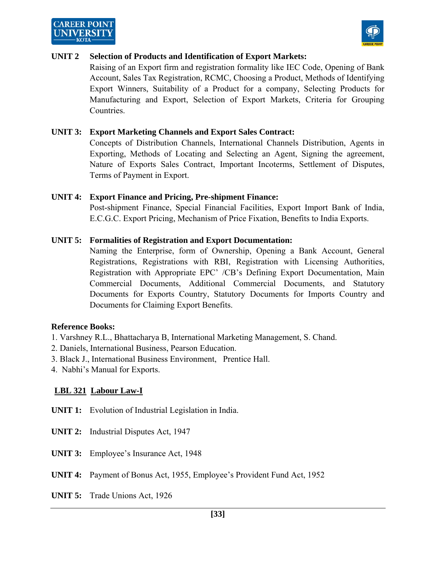



#### **UNIT 2 Selection of Products and Identification of Export Markets:**

 Raising of an Export firm and registration formality like IEC Code, Opening of Bank Account, Sales Tax Registration, RCMC, Choosing a Product, Methods of Identifying Export Winners, Suitability of a Product for a company, Selecting Products for Manufacturing and Export, Selection of Export Markets, Criteria for Grouping Countries.

#### **UNIT 3: Export Marketing Channels and Export Sales Contract:**

 Concepts of Distribution Channels, International Channels Distribution, Agents in Exporting, Methods of Locating and Selecting an Agent, Signing the agreement, Nature of Exports Sales Contract, Important Incoterms, Settlement of Disputes, Terms of Payment in Export.

#### **UNIT 4: Export Finance and Pricing, Pre-shipment Finance:**

 Post-shipment Finance, Special Financial Facilities, Export Import Bank of India, E.C.G.C. Export Pricing, Mechanism of Price Fixation, Benefits to India Exports.

#### **UNIT 5: Formalities of Registration and Export Documentation:**

 Naming the Enterprise, form of Ownership, Opening a Bank Account, General Registrations, Registrations with RBI, Registration with Licensing Authorities, Registration with Appropriate EPC' /CB's Defining Export Documentation, Main Commercial Documents, Additional Commercial Documents, and Statutory Documents for Exports Country, Statutory Documents for Imports Country and Documents for Claiming Export Benefits.

#### **Reference Books:**

- 1. Varshney R.L., Bhattacharya B, International Marketing Management, S. Chand.
- 2. Daniels, International Business, Pearson Education.
- 3. Black J., International Business Environment, Prentice Hall.
- 4. Nabhi's Manual for Exports.

#### **LBL 321 Labour Law-I**

- **UNIT 1:** Evolution of Industrial Legislation in India.
- **UNIT 2:** Industrial Disputes Act, 1947
- **UNIT 3:** Employee's Insurance Act, 1948
- **UNIT 4:** Payment of Bonus Act, 1955, Employee's Provident Fund Act, 1952
- **UNIT 5:** Trade Unions Act, 1926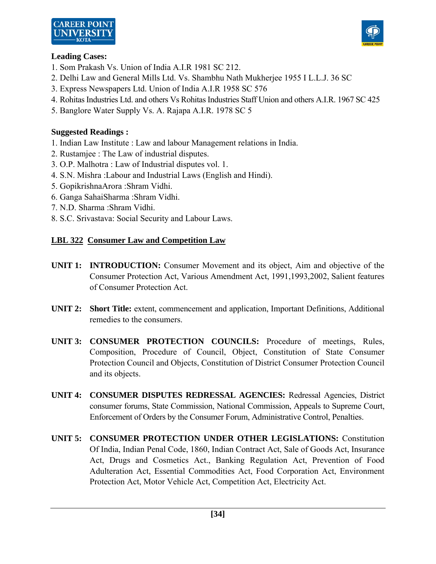



#### **Leading Cases:**

- 1. Som Prakash Vs. Union of India A.I.R 1981 SC 212.
- 2. Delhi Law and General Mills Ltd. Vs. Shambhu Nath Mukherjee 1955 I L.L.J. 36 SC
- 3. Express Newspapers Ltd. Union of India A.I.R 1958 SC 576
- 4. Rohitas Industries Ltd. and others Vs Rohitas Industries Staff Union and others A.I.R. 1967 SC 425
- 5. Banglore Water Supply Vs. A. Rajapa A.I.R. 1978 SC 5

#### **Suggested Readings :**

- 1. Indian Law Institute : Law and labour Management relations in India.
- 2. Rustamjee : The Law of industrial disputes.
- 3. O.P. Malhotra : Law of Industrial disputes vol. 1.
- 4. S.N. Mishra :Labour and Industrial Laws (English and Hindi).
- 5. GopikrishnaArora :Shram Vidhi.
- 6. Ganga SahaiSharma :Shram Vidhi.
- 7. N.D. Sharma :Shram Vidhi.
- 8. S.C. Srivastava: Social Security and Labour Laws.

## **LBL 322 Consumer Law and Competition Law**

- **UNIT 1: INTRODUCTION:** Consumer Movement and its object, Aim and objective of the Consumer Protection Act, Various Amendment Act, 1991,1993,2002, Salient features of Consumer Protection Act.
- **UNIT 2: Short Title:** extent, commencement and application, Important Definitions, Additional remedies to the consumers.
- **UNIT 3: CONSUMER PROTECTION COUNCILS:** Procedure of meetings, Rules, Composition, Procedure of Council, Object, Constitution of State Consumer Protection Council and Objects, Constitution of District Consumer Protection Council and its objects.
- **UNIT 4: CONSUMER DISPUTES REDRESSAL AGENCIES:** Redressal Agencies, District consumer forums, State Commission, National Commission, Appeals to Supreme Court, Enforcement of Orders by the Consumer Forum, Administrative Control, Penalties.
- **UNIT 5: CONSUMER PROTECTION UNDER OTHER LEGISLATIONS:** Constitution Of India, Indian Penal Code, 1860, Indian Contract Act, Sale of Goods Act, Insurance Act, Drugs and Cosmetics Act., Banking Regulation Act, Prevention of Food Adulteration Act, Essential Commodities Act, Food Corporation Act, Environment Protection Act, Motor Vehicle Act, Competition Act, Electricity Act.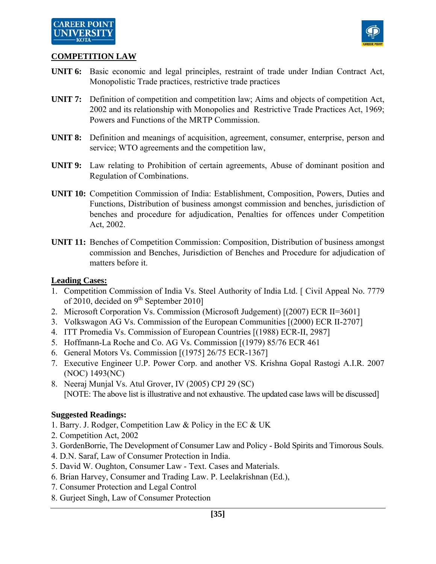

#### **COMPETITION LAW**

- **UNIT 6:** Basic economic and legal principles, restraint of trade under Indian Contract Act, Monopolistic Trade practices, restrictive trade practices
- **UNIT 7:** Definition of competition and competition law; Aims and objects of competition Act, 2002 and its relationship with Monopolies and Restrictive Trade Practices Act, 1969; Powers and Functions of the MRTP Commission.
- **UNIT 8:** Definition and meanings of acquisition, agreement, consumer, enterprise, person and service; WTO agreements and the competition law,
- **UNIT 9:** Law relating to Prohibition of certain agreements, Abuse of dominant position and Regulation of Combinations.
- **UNIT 10:** Competition Commission of India: Establishment, Composition, Powers, Duties and Functions, Distribution of business amongst commission and benches, jurisdiction of benches and procedure for adjudication, Penalties for offences under Competition Act, 2002.
- **UNIT 11:** Benches of Competition Commission: Composition, Distribution of business amongst commission and Benches, Jurisdiction of Benches and Procedure for adjudication of matters before it.

#### **Leading Cases:**

- 1. Competition Commission of India Vs. Steel Authority of India Ltd. [ Civil Appeal No. 7779 of 2010, decided on  $9<sup>th</sup>$  September 2010]
- 2. Microsoft Corporation Vs. Commission (Microsoft Judgement) [(2007) ECR II=3601]
- 3. Volkswagon AG Vs. Commission of the European Communities [(2000) ECR II-2707]
- 4. ITT Promedia Vs. Commission of European Countries [(1988) ECR-II, 2987]
- 5. Hoffmann-La Roche and Co. AG Vs. Commission [(1979) 85/76 ECR 461
- 6. General Motors Vs. Commission [(1975] 26/75 ECR-1367]
- 7. Executive Engineer U.P. Power Corp. and another VS. Krishna Gopal Rastogi A.I.R. 2007 (NOC) 1493(NC)
- 8. Neeraj Munjal Vs. Atul Grover, IV (2005) CPJ 29 (SC) [NOTE: The above list is illustrative and not exhaustive. The updated case laws will be discussed]

#### **Suggested Readings:**

- 1. Barry. J. Rodger, Competition Law & Policy in the EC & UK
- 2. Competition Act, 2002
- 3. GordenBorrie, The Development of Consumer Law and Policy Bold Spirits and Timorous Souls.
- 4. D.N. Saraf, Law of Consumer Protection in India.
- 5. David W. Oughton, Consumer Law Text. Cases and Materials.
- 6. Brian Harvey, Consumer and Trading Law. P. Leelakrishnan (Ed.),
- 7. Consumer Protection and Legal Control
- 8. Gurjeet Singh, Law of Consumer Protection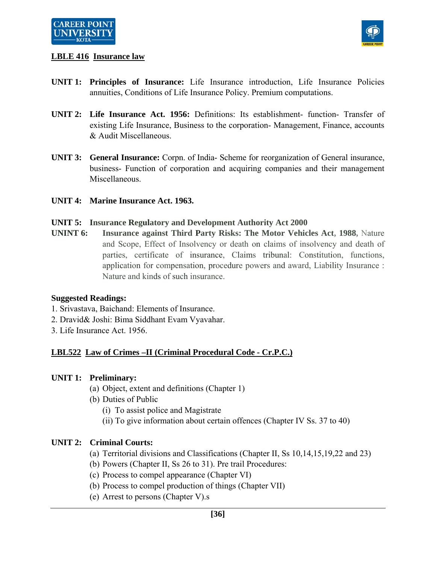

## **LBLE 416 Insurance law**

- **UNIT 1: Principles of Insurance:** Life Insurance introduction, Life Insurance Policies annuities, Conditions of Life Insurance Policy. Premium computations.
- **UNIT 2: Life Insurance Act. 1956:** Definitions: Its establishment- function- Transfer of existing Life Insurance, Business to the corporation- Management, Finance, accounts & Audit Miscellaneous.
- **UNIT 3: General Insurance:** Corpn. of India- Scheme for reorganization of General insurance, business- Function of corporation and acquiring companies and their management Miscellaneous.
- **UNIT 4: Marine Insurance Act. 1963.**

#### **UNIT 5: Insurance Regulatory and Development Authority Act 2000**

**UNINT 6: Insurance against Third Party Risks: The Motor Vehicles Act, 1988,** Nature and Scope, Effect of Insolvency or death on claims of insolvency and death of parties, certificate of insurance, Claims tribunal: Constitution, functions, application for compensation, procedure powers and award, Liability Insurance : Nature and kinds of such insurance.

#### **Suggested Readings:**

- 1. Srivastava, Baichand: Elements of Insurance.
- 2. Dravid& Joshi: Bima Siddhant Evam Vyavahar.
- 3. Life Insurance Act. 1956.

## **LBL522 Law of Crimes –II (Criminal Procedural Code - Cr.P.C.)**

#### **UNIT 1: Preliminary:**

- (a) Object, extent and definitions (Chapter 1)
- (b) Duties of Public
	- (i) To assist police and Magistrate
	- (ii) To give information about certain offences (Chapter IV Ss. 37 to 40)

#### **UNIT 2: Criminal Courts:**

- (a) Territorial divisions and Classifications (Chapter II, Ss 10,14,15,19,22 and 23)
- (b) Powers (Chapter II, Ss 26 to 31). Pre trail Procedures:
- (c) Process to compel appearance (Chapter VI)
- (b) Process to compel production of things (Chapter VII)
- (e) Arrest to persons (Chapter V).s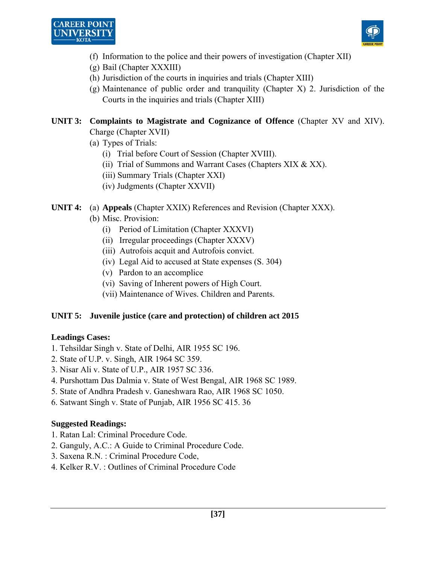



- (f) Information to the police and their powers of investigation (Chapter XII)
- (g) Bail (Chapter XXXIII)
- (h) Jurisdiction of the courts in inquiries and trials (Chapter XIII)
- (g) Maintenance of public order and tranquility (Chapter X) 2. Jurisdiction of the Courts in the inquiries and trials (Chapter XIII)

## **UNIT 3: Complaints to Magistrate and Cognizance of Offence** (Chapter XV and XIV). Charge (Chapter XVII)

- (a) Types of Trials:
	- (i) Trial before Court of Session (Chapter XVIII).
	- (ii) Trial of Summons and Warrant Cases (Chapters XIX & XX).
	- (iii) Summary Trials (Chapter XXI)
	- (iv) Judgments (Chapter XXVII)

## **UNIT 4:** (a) **Appeals** (Chapter XXIX) References and Revision (Chapter XXX).

- (b) Misc. Provision:
	- (i) Period of Limitation (Chapter XXXVI)
	- (ii) Irregular proceedings (Chapter XXXV)
	- (iii) Autrofois acquit and Autrofois convict.
	- (iv) Legal Aid to accused at State expenses (S. 304)
	- (v) Pardon to an accomplice
	- (vi) Saving of Inherent powers of High Court.
	- (vii) Maintenance of Wives. Children and Parents.

#### **UNIT 5: Juvenile justice (care and protection) of children act 2015**

#### **Leadings Cases:**

- 1. Tehsildar Singh v. State of Delhi, AIR 1955 SC 196.
- 2. State of U.P. v. Singh, AIR 1964 SC 359.
- 3. Nisar Ali v. State of U.P., AIR 1957 SC 336.
- 4. Purshottam Das Dalmia v. State of West Bengal, AIR 1968 SC 1989.
- 5. State of Andhra Pradesh v. Ganeshwara Rao, AIR 1968 SC 1050.
- 6. Satwant Singh v. State of Punjab, AIR 1956 SC 415. 36

## **Suggested Readings:**

- 1. Ratan Lal: Criminal Procedure Code.
- 2. Ganguly, A.C.: A Guide to Criminal Procedure Code.
- 3. Saxena R.N. : Criminal Procedure Code,
- 4. Kelker R.V. : Outlines of Criminal Procedure Code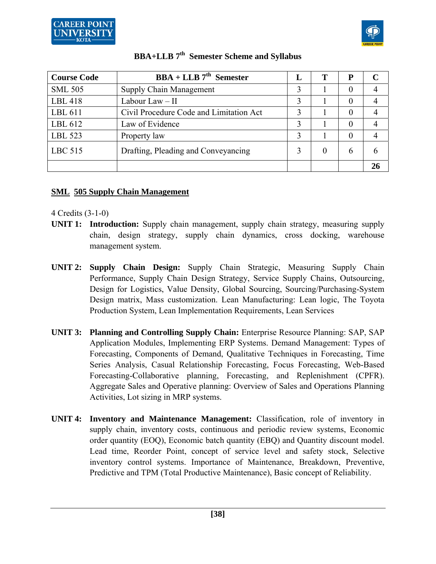



| <b>Course Code</b> | $BBA + LLB$ 7 <sup>th</sup> Semester    |   |          | P        | C  |
|--------------------|-----------------------------------------|---|----------|----------|----|
| <b>SML 505</b>     | <b>Supply Chain Management</b>          |   |          | $\theta$ |    |
| LBL 418            | Labour Law $-$ II                       |   |          | $\theta$ |    |
| LBL 611            | Civil Procedure Code and Limitation Act | 3 |          | $\theta$ |    |
| LBL 612            | Law of Evidence                         | 3 |          | $\Omega$ |    |
| LBL 523            | Property law                            |   |          | $\theta$ |    |
| LBC 515            | Drafting, Pleading and Conveyancing     |   | $\theta$ | 6        | h  |
|                    |                                         |   |          |          | 26 |

## **SML 505 Supply Chain Management**

- **UNIT 1: Introduction:** Supply chain management, supply chain strategy, measuring supply chain, design strategy, supply chain dynamics, cross docking, warehouse management system.
- **UNIT 2: Supply Chain Design:** Supply Chain Strategic, Measuring Supply Chain Performance, Supply Chain Design Strategy, Service Supply Chains, Outsourcing, Design for Logistics, Value Density, Global Sourcing, Sourcing/Purchasing-System Design matrix, Mass customization. Lean Manufacturing: Lean logic, The Toyota Production System, Lean Implementation Requirements, Lean Services
- **UNIT 3: Planning and Controlling Supply Chain:** Enterprise Resource Planning: SAP, SAP Application Modules, Implementing ERP Systems. Demand Management: Types of Forecasting, Components of Demand, Qualitative Techniques in Forecasting, Time Series Analysis, Casual Relationship Forecasting, Focus Forecasting, Web-Based Forecasting-Collaborative planning, Forecasting, and Replenishment (CPFR). Aggregate Sales and Operative planning: Overview of Sales and Operations Planning Activities, Lot sizing in MRP systems.
- **UNIT 4: Inventory and Maintenance Management:** Classification, role of inventory in supply chain, inventory costs, continuous and periodic review systems, Economic order quantity (EOQ), Economic batch quantity (EBQ) and Quantity discount model. Lead time, Reorder Point, concept of service level and safety stock, Selective inventory control systems. Importance of Maintenance, Breakdown, Preventive, Predictive and TPM (Total Productive Maintenance), Basic concept of Reliability.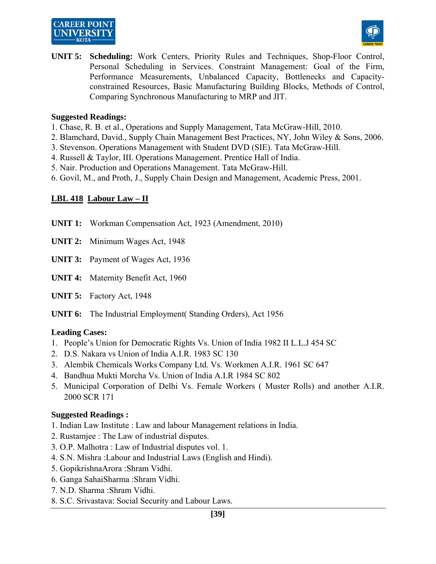## **CAREER POINT** UNIVERSIT



**UNIT 5: Scheduling:** Work Centers, Priority Rules and Techniques, Shop-Floor Control, Personal Scheduling in Services. Constraint Management: Goal of the Firm, Performance Measurements, Unbalanced Capacity, Bottlenecks and Capacityconstrained Resources, Basic Manufacturing Building Blocks, Methods of Control, Comparing Synchronous Manufacturing to MRP and JIT.

#### **Suggested Readings:**

- 1. Chase, R. B. et al., Operations and Supply Management, Tata McGraw-Hill, 2010.
- 2. Blamchard, David., Supply Chain Management Best Practices, NY, John Wiley & Sons, 2006.
- 3. Stevenson. Operations Management with Student DVD (SIE). Tata McGraw-Hill.
- 4. Russell & Taylor, III. Operations Management. Prentice Hall of India.
- 5. Nair. Production and Operations Management. Tata McGraw-Hill.
- 6. Govil, M., and Proth, J., Supply Chain Design and Management, Academic Press, 2001.

## **LBL 418 Labour Law – II**

- **UNIT 1:** Workman Compensation Act, 1923 (Amendment, 2010)
- **UNIT 2:** Minimum Wages Act, 1948
- **UNIT 3:** Payment of Wages Act, 1936
- **UNIT 4:** Maternity Benefit Act, 1960
- **UNIT 5:** Factory Act, 1948
- **UNIT 6:** The Industrial Employment( Standing Orders), Act 1956

#### **Leading Cases:**

- 1. People's Union for Democratic Rights Vs. Union of India 1982 II L.L.J 454 SC
- 2. D.S. Nakara vs Union of India A.I.R. 1983 SC 130
- 3. Alembik Chemicals Works Company Ltd. Vs. Workmen A.I.R. 1961 SC 647
- 4. Bandhua Mukti Morcha Vs. Union of India A.I.R 1984 SC 802
- 5. Municipal Corporation of Delhi Vs. Female Workers ( Muster Rolls) and another A.I.R. 2000 SCR 171

#### **Suggested Readings :**

- 1. Indian Law Institute : Law and labour Management relations in India.
- 2. Rustamjee : The Law of industrial disputes.
- 3. O.P. Malhotra : Law of Industrial disputes vol. 1.
- 4. S.N. Mishra :Labour and Industrial Laws (English and Hindi).
- 5. GopikrishnaArora :Shram Vidhi.
- 6. Ganga SahaiSharma :Shram Vidhi.
- 7. N.D. Sharma :Shram Vidhi.
- 8. S.C. Srivastava: Social Security and Labour Laws.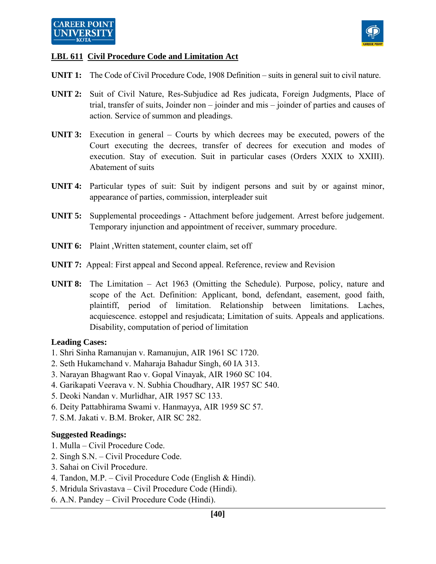

## **LBL 611 Civil Procedure Code and Limitation Act**

- **UNIT 1:** The Code of Civil Procedure Code, 1908 Definition suits in general suit to civil nature.
- **UNIT 2:** Suit of Civil Nature, Res-Subjudice ad Res judicata, Foreign Judgments, Place of trial, transfer of suits, Joinder non – joinder and mis – joinder of parties and causes of action. Service of summon and pleadings.
- **UNIT 3:** Execution in general Courts by which decrees may be executed, powers of the Court executing the decrees, transfer of decrees for execution and modes of execution. Stay of execution. Suit in particular cases (Orders XXIX to XXIII). Abatement of suits
- **UNIT 4:** Particular types of suit: Suit by indigent persons and suit by or against minor, appearance of parties, commission, interpleader suit
- **UNIT 5:** Supplemental proceedings Attachment before judgement. Arrest before judgement. Temporary injunction and appointment of receiver, summary procedure.
- **UNIT 6:** Plaint ,Written statement, counter claim, set off
- **UNIT 7:** Appeal: First appeal and Second appeal. Reference, review and Revision
- **UNIT 8:** The Limitation Act 1963 (Omitting the Schedule). Purpose, policy, nature and scope of the Act. Definition: Applicant, bond, defendant, easement, good faith, plaintiff, period of limitation. Relationship between limitations. Laches, acquiescence. estoppel and resjudicata; Limitation of suits. Appeals and applications. Disability, computation of period of limitation

#### **Leading Cases:**

- 1. Shri Sinha Ramanujan v. Ramanujun, AIR 1961 SC 1720.
- 2. Seth Hukamchand v. Maharaja Bahadur Singh, 60 IA 313.
- 3. Narayan Bhagwant Rao v. Gopal Vinayak, AIR 1960 SC 104.
- 4. Garikapati Veerava v. N. Subhia Choudhary, AIR 1957 SC 540.
- 5. Deoki Nandan v. Murlidhar, AIR 1957 SC 133.
- 6. Deity Pattabhirama Swami v. Hanmayya, AIR 1959 SC 57.
- 7. S.M. Jakati v. B.M. Broker, AIR SC 282.

#### **Suggested Readings:**

- 1. Mulla Civil Procedure Code.
- 2. Singh S.N. Civil Procedure Code.
- 3. Sahai on Civil Procedure.
- 4. Tandon, M.P. Civil Procedure Code (English & Hindi).
- 5. Mridula Srivastava Civil Procedure Code (Hindi).
- 6. A.N. Pandey Civil Procedure Code (Hindi).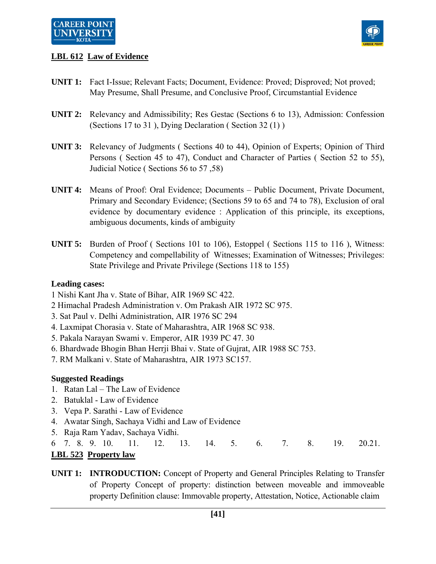

## **LBL 612 Law of Evidence**

- **UNIT 1:** Fact I-Issue; Relevant Facts; Document, Evidence: Proved; Disproved; Not proved; May Presume, Shall Presume, and Conclusive Proof, Circumstantial Evidence
- **UNIT 2:** Relevancy and Admissibility; Res Gestac (Sections 6 to 13), Admission: Confession (Sections 17 to 31 ), Dying Declaration ( Section 32 (1) )
- **UNIT 3:** Relevancy of Judgments ( Sections 40 to 44), Opinion of Experts; Opinion of Third Persons ( Section 45 to 47), Conduct and Character of Parties ( Section 52 to 55), Judicial Notice ( Sections 56 to 57 ,58)
- **UNIT 4:** Means of Proof: Oral Evidence; Documents Public Document, Private Document, Primary and Secondary Evidence; (Sections 59 to 65 and 74 to 78), Exclusion of oral evidence by documentary evidence : Application of this principle, its exceptions, ambiguous documents, kinds of ambiguity
- **UNIT 5:** Burden of Proof ( Sections 101 to 106), Estoppel ( Sections 115 to 116 ), Witness: Competency and compellability of Witnesses; Examination of Witnesses; Privileges: State Privilege and Private Privilege (Sections 118 to 155)

#### **Leading cases:**

- 1 Nishi Kant Jha v. State of Bihar, AIR 1969 SC 422.
- 2 Himachal Pradesh Administration v. Om Prakash AIR 1972 SC 975.
- 3. Sat Paul v. Delhi Administration, AIR 1976 SC 294
- 4. Laxmipat Chorasia v. State of Maharashtra, AIR 1968 SC 938.
- 5. Pakala Narayan Swami v. Emperor, AIR 1939 PC 47. 30
- 6. Bhardwade Bhogin Bhan Herrji Bhai v. State of Gujrat, AIR 1988 SC 753.
- 7. RM Malkani v. State of Maharashtra, AIR 1973 SC157.

#### **Suggested Readings**

- 1. Ratan Lal The Law of Evidence
- 2. Batuklal Law of Evidence
- 3. Vepa P. Sarathi Law of Evidence
- 4. Awatar Singh, Sachaya Vidhi and Law of Evidence
- 5. Raja Ram Yadav, Sachaya Vidhi.
- 6 7. 8. 9. 10. 11. 12. 13. 14. 5. 6. 7. 8. 19. 20.21. **LBL 523 Property law**
- **UNIT 1: INTRODUCTION:** Concept of Property and General Principles Relating to Transfer of Property Concept of property: distinction between moveable and immoveable property Definition clause: Immovable property, Attestation, Notice, Actionable claim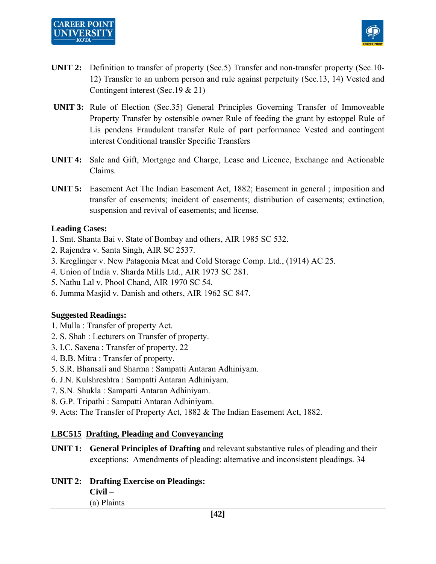# **CAREER POINT**



- **UNIT 2:** Definition to transfer of property (Sec.5) Transfer and non-transfer property (Sec.10- 12) Transfer to an unborn person and rule against perpetuity (Sec.13, 14) Vested and Contingent interest (Sec.19 & 21)
- **UNIT 3:** Rule of Election (Sec.35) General Principles Governing Transfer of Immoveable Property Transfer by ostensible owner Rule of feeding the grant by estoppel Rule of Lis pendens Fraudulent transfer Rule of part performance Vested and contingent interest Conditional transfer Specific Transfers
- **UNIT 4:** Sale and Gift, Mortgage and Charge, Lease and Licence, Exchange and Actionable Claims.
- **UNIT 5:** Easement Act The Indian Easement Act, 1882; Easement in general ; imposition and transfer of easements; incident of easements; distribution of easements; extinction, suspension and revival of easements; and license.

## **Leading Cases:**

- 1. Smt. Shanta Bai v. State of Bombay and others, AIR 1985 SC 532.
- 2. Rajendra v. Santa Singh, AIR SC 2537.
- 3. Kreglinger v. New Patagonia Meat and Cold Storage Comp. Ltd., (1914) AC 25.
- 4. Union of India v. Sharda Mills Ltd., AIR 1973 SC 281.
- 5. Nathu Lal v. Phool Chand, AIR 1970 SC 54.
- 6. Jumma Masjid v. Danish and others, AIR 1962 SC 847.

#### **Suggested Readings:**

- 1. Mulla : Transfer of property Act.
- 2. S. Shah : Lecturers on Transfer of property.
- 3. I.C. Saxena : Transfer of property. 22
- 4. B.B. Mitra : Transfer of property.
- 5. S.R. Bhansali and Sharma : Sampatti Antaran Adhiniyam.
- 6. J.N. Kulshreshtra : Sampatti Antaran Adhiniyam.
- 7. S.N. Shukla : Sampatti Antaran Adhiniyam.
- 8. G.P. Tripathi : Sampatti Antaran Adhiniyam.
- 9. Acts: The Transfer of Property Act, 1882 & The Indian Easement Act, 1882.

## **LBC515 Drafting, Pleading and Conveyancing**

- **UNIT 1: General Principles of Drafting** and relevant substantive rules of pleading and their exceptions: Amendments of pleading: alternative and inconsistent pleadings. 34
- **UNIT 2: Drafting Exercise on Pleadings: Civil** – (a) Plaints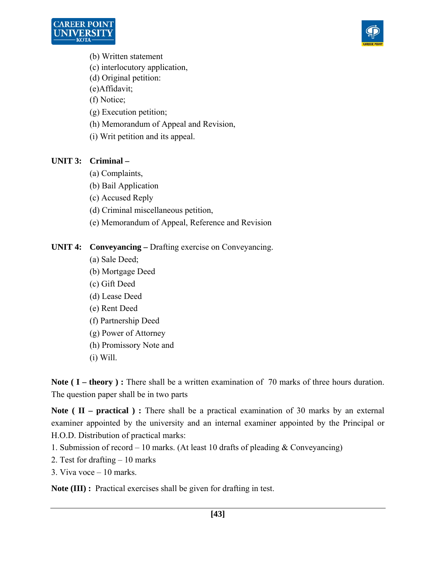



- (b) Written statement
- (c) interlocutory application,
- (d) Original petition:
- (e)Affidavit;
- (f) Notice;
- (g) Execution petition;
- (h) Memorandum of Appeal and Revision,
- (i) Writ petition and its appeal.

## **UNIT 3: Criminal –**

- (a) Complaints,
- (b) Bail Application
- (c) Accused Reply
- (d) Criminal miscellaneous petition,
- (e) Memorandum of Appeal, Reference and Revision

## **UNIT 4: Conveyancing –** Drafting exercise on Conveyancing.

- (a) Sale Deed;
- (b) Mortgage Deed
- (c) Gift Deed
- (d) Lease Deed
- (e) Rent Deed
- (f) Partnership Deed
- (g) Power of Attorney
- (h) Promissory Note and
- (i) Will.

**Note (I – theory):** There shall be a written examination of 70 marks of three hours duration. The question paper shall be in two parts

Note ( II – practical ) : There shall be a practical examination of 30 marks by an external examiner appointed by the university and an internal examiner appointed by the Principal or H.O.D. Distribution of practical marks:

- 1. Submission of record 10 marks. (At least 10 drafts of pleading & Conveyancing)
- 2. Test for drafting 10 marks
- 3. Viva voce 10 marks.

**Note (III) :** Practical exercises shall be given for drafting in test.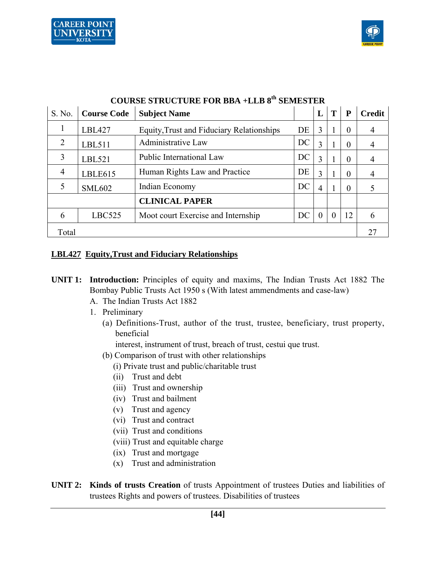



| COUNTE STRUCTUNE FOR DDA TELD 0<br>минмин |                    |                                           |    |          |          |          |               |  |  |  |  |
|-------------------------------------------|--------------------|-------------------------------------------|----|----------|----------|----------|---------------|--|--|--|--|
| S. No.                                    | <b>Course Code</b> | <b>Subject Name</b>                       |    |          | T        | P        | <b>Credit</b> |  |  |  |  |
| 1                                         | <b>LBL427</b>      | Equity, Trust and Fiduciary Relationships | DE | 3        |          | $\theta$ | 4             |  |  |  |  |
| $\overline{2}$                            | LBL511             | Administrative Law                        | DC | 3        |          | $\theta$ | 4             |  |  |  |  |
| 3                                         | LBL521             | Public International Law                  | DC | 3        |          | $\theta$ | 4             |  |  |  |  |
| $\overline{4}$                            | LBLE615            | Human Rights Law and Practice             | DE | 3        |          | $\theta$ |               |  |  |  |  |
| 5                                         | <b>SML602</b>      | Indian Economy                            | DC | 4        |          | $\theta$ |               |  |  |  |  |
|                                           |                    | <b>CLINICAL PAPER</b>                     |    |          |          |          |               |  |  |  |  |
| 6                                         | LBC525             | Moot court Exercise and Internship        | DC | $\theta$ | $\Omega$ | 12       | 6             |  |  |  |  |
| Total                                     |                    |                                           |    |          |          |          |               |  |  |  |  |

# **COURSE STRUCTURE FOR BBA +LLB 8th SEMESTER**

#### **LBL427 Equity,Trust and Fiduciary Relationships**

- **UNIT 1: Introduction:** Principles of equity and maxims, The Indian Trusts Act 1882 The Bombay Public Trusts Act 1950 s (With latest ammendments and case-law)
	- A. The Indian Trusts Act 1882
	- 1. Preliminary
		- (a) Definitions-Trust, author of the trust, trustee, beneficiary, trust property, beneficial

interest, instrument of trust, breach of trust, cestui que trust.

- (b) Comparison of trust with other relationships
	- (i) Private trust and public/charitable trust
	- (ii) Trust and debt
	- (iii) Trust and ownership
	- (iv) Trust and bailment
	- (v) Trust and agency
	- (vi) Trust and contract
	- (vii) Trust and conditions
	- (viii) Trust and equitable charge
	- (ix) Trust and mortgage
	- (x) Trust and administration
- **UNIT 2: Kinds of trusts Creation** of trusts Appointment of trustees Duties and liabilities of trustees Rights and powers of trustees. Disabilities of trustees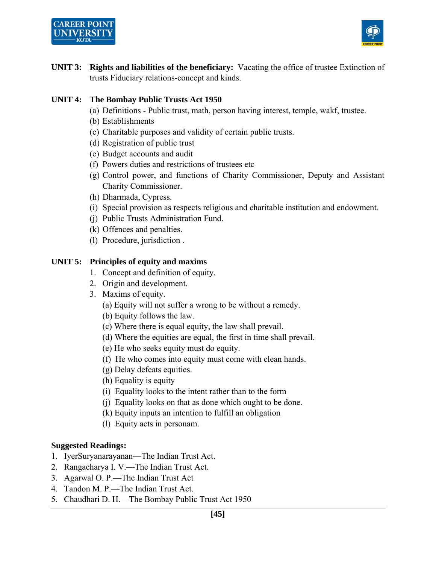



**UNIT 3: Rights and liabilities of the beneficiary:** Vacating the office of trustee Extinction of trusts Fiduciary relations-concept and kinds.

#### **UNIT 4: The Bombay Public Trusts Act 1950**

- (a) Definitions Public trust, math, person having interest, temple, wakf, trustee.
- (b) Establishments
- (c) Charitable purposes and validity of certain public trusts.
- (d) Registration of public trust
- (e) Budget accounts and audit
- (f) Powers duties and restrictions of trustees etc
- (g) Control power, and functions of Charity Commissioner, Deputy and Assistant Charity Commissioner.
- (h) Dharmada, Cypress.
- (i) Special provision as respects religious and charitable institution and endowment.
- (j) Public Trusts Administration Fund.
- (k) Offences and penalties.
- (l) Procedure, jurisdiction .

#### **UNIT 5: Principles of equity and maxims**

- 1. Concept and definition of equity.
- 2. Origin and development.
- 3. Maxims of equity.
	- (a) Equity will not suffer a wrong to be without a remedy.
	- (b) Equity follows the law.
	- (c) Where there is equal equity, the law shall prevail.
	- (d) Where the equities are equal, the first in time shall prevail.
	- (e) He who seeks equity must do equity.
	- (f) He who comes into equity must come with clean hands.
	- (g) Delay defeats equities.
	- (h) Equality is equity
	- (i) Equality looks to the intent rather than to the form
	- (j) Equality looks on that as done which ought to be done.
	- (k) Equity inputs an intention to fulfill an obligation
	- (l) Equity acts in personam.

#### **Suggested Readings:**

- 1. IyerSuryanarayanan—The Indian Trust Act.
- 2. Rangacharya I. V.—The Indian Trust Act.
- 3. Agarwal O. P.—The Indian Trust Act
- 4. Tandon M. P.—The Indian Trust Act.
- 5. Chaudhari D. H.—The Bombay Public Trust Act 1950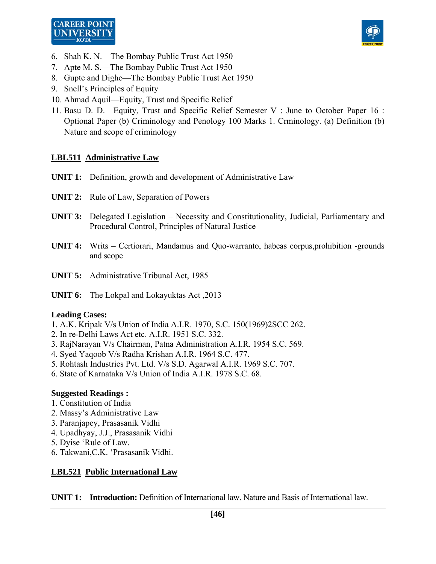



- 6. Shah K. N.—The Bombay Public Trust Act 1950
- 7. Apte M. S.—The Bombay Public Trust Act 1950
- 8. Gupte and Dighe—The Bombay Public Trust Act 1950
- 9. Snell's Principles of Equity
- 10. Ahmad Aquil—Equity, Trust and Specific Relief
- 11. Basu D. D.—Equity, Trust and Specific Relief Semester V : June to October Paper 16 : Optional Paper (b) Criminology and Penology 100 Marks 1. Crminology. (a) Definition (b) Nature and scope of criminology

#### **LBL511 Administrative Law**

- **UNIT 1:** Definition, growth and development of Administrative Law
- **UNIT 2:** Rule of Law, Separation of Powers
- **UNIT 3:** Delegated Legislation Necessity and Constitutionality, Judicial, Parliamentary and Procedural Control, Principles of Natural Justice
- **UNIT 4:** Writs Certiorari, Mandamus and Quo-warranto, habeas corpus,prohibition -grounds and scope
- **UNIT 5:** Administrative Tribunal Act, 1985
- **UNIT 6:** The Lokpal and Lokayuktas Act ,2013

#### **Leading Cases:**

- 1. A.K. Kripak V/s Union of India A.I.R. 1970, S.C. 150(1969)2SCC 262.
- 2. In re-Delhi Laws Act etc. A.I.R. 1951 S.C. 332.
- 3. RajNarayan V/s Chairman, Patna Administration A.I.R. 1954 S.C. 569.
- 4. Syed Yaqoob V/s Radha Krishan A.I.R. 1964 S.C. 477.
- 5. Rohtash Industries Pvt. Ltd. V/s S.D. Agarwal A.I.R. 1969 S.C. 707.
- 6. State of Karnataka V/s Union of India A.I.R. 1978 S.C. 68.

#### **Suggested Readings :**

- 1. Constitution of India
- 2. Massy's Administrative Law
- 3. Paranjapey, Prasasanik Vidhi
- 4. Upadhyay, J.J., Prasasanik Vidhi
- 5. Dyise 'Rule of Law.
- 6. Takwani,C.K. 'Prasasanik Vidhi.

#### **LBL521 Public International Law**

**UNIT 1: Introduction:** Definition of International law. Nature and Basis of International law.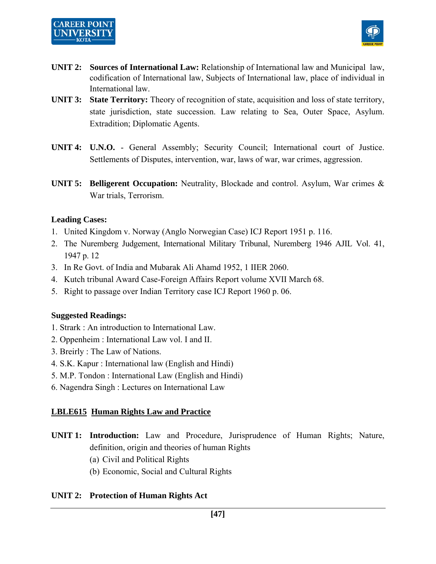# **CAREER POINT**



- **UNIT 2: Sources of International Law:** Relationship of International law and Municipal law, codification of International law, Subjects of International law, place of individual in International law.
- **UNIT 3: State Territory:** Theory of recognition of state, acquisition and loss of state territory, state jurisdiction, state succession. Law relating to Sea, Outer Space, Asylum. Extradition; Diplomatic Agents.
- **UNIT 4: U.N.O.** General Assembly; Security Council; International court of Justice. Settlements of Disputes, intervention, war, laws of war, war crimes, aggression.
- **UNIT 5: Belligerent Occupation:** Neutrality, Blockade and control. Asylum, War crimes & War trials, Terrorism.

## **Leading Cases:**

- 1. United Kingdom v. Norway (Anglo Norwegian Case) ICJ Report 1951 p. 116.
- 2. The Nuremberg Judgement, International Military Tribunal, Nuremberg 1946 AJIL Vol. 41, 1947 p. 12
- 3. In Re Govt. of India and Mubarak Ali Ahamd 1952, 1 IIER 2060.
- 4. Kutch tribunal Award Case-Foreign Affairs Report volume XVII March 68.
- 5. Right to passage over Indian Territory case ICJ Report 1960 p. 06.

#### **Suggested Readings:**

- 1. Strark : An introduction to International Law.
- 2. Oppenheim : International Law vol. I and II.
- 3. Breirly : The Law of Nations.
- 4. S.K. Kapur : International law (English and Hindi)
- 5. M.P. Tondon : International Law (English and Hindi)
- 6. Nagendra Singh : Lectures on International Law

## **LBLE615 Human Rights Law and Practice**

- **UNIT 1: Introduction:** Law and Procedure, Jurisprudence of Human Rights; Nature, definition, origin and theories of human Rights
	- (a) Civil and Political Rights
	- (b) Economic, Social and Cultural Rights

## **UNIT 2: Protection of Human Rights Act**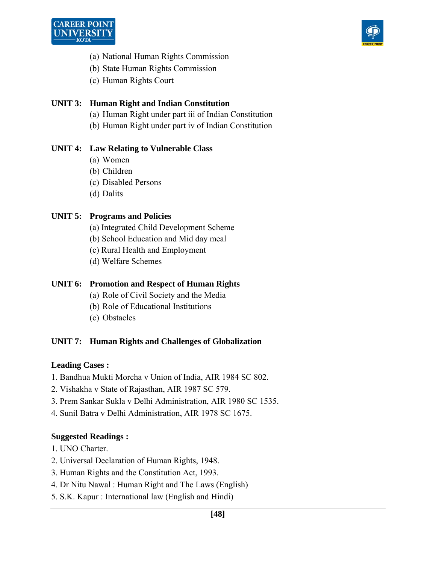



- (a) National Human Rights Commission
- (b) State Human Rights Commission
- (c) Human Rights Court

## **UNIT 3: Human Right and Indian Constitution**

- (a) Human Right under part iii of Indian Constitution
- (b) Human Right under part iv of Indian Constitution

## **UNIT 4: Law Relating to Vulnerable Class**

- (a) Women
- (b) Children
- (c) Disabled Persons
- (d) Dalits

## **UNIT 5: Programs and Policies**

- (a) Integrated Child Development Scheme
- (b) School Education and Mid day meal
- (c) Rural Health and Employment
- (d) Welfare Schemes

## **UNIT 6: Promotion and Respect of Human Rights**

- (a) Role of Civil Society and the Media
- (b) Role of Educational Institutions
- (c) Obstacles

## **UNIT 7: Human Rights and Challenges of Globalization**

#### **Leading Cases :**

- 1. Bandhua Mukti Morcha v Union of India, AIR 1984 SC 802.
- 2. Vishakha v State of Rajasthan, AIR 1987 SC 579.
- 3. Prem Sankar Sukla v Delhi Administration, AIR 1980 SC 1535.
- 4. Sunil Batra v Delhi Administration, AIR 1978 SC 1675.

#### **Suggested Readings :**

- 1. UNO Charter.
- 2. Universal Declaration of Human Rights, 1948.
- 3. Human Rights and the Constitution Act, 1993.
- 4. Dr Nitu Nawal : Human Right and The Laws (English)
- 5. S.K. Kapur : International law (English and Hindi)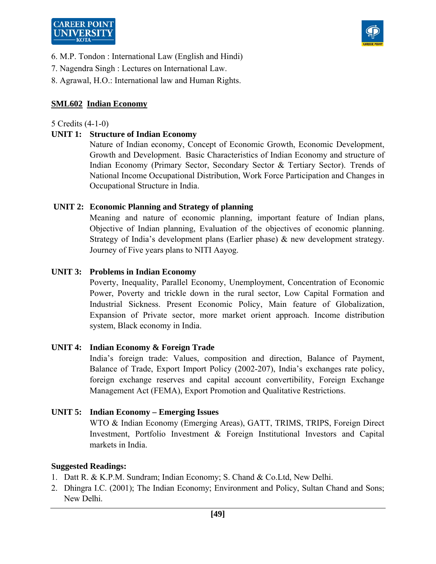

- 6. M.P. Tondon : International Law (English and Hindi)
- 7. Nagendra Singh : Lectures on International Law.
- 8. Agrawal, H.O.: International law and Human Rights.

## **SML602 Indian Economy**

#### 5 Credits (4-1-0)

## **UNIT 1: Structure of Indian Economy**

 Nature of Indian economy, Concept of Economic Growth, Economic Development, Growth and Development. Basic Characteristics of Indian Economy and structure of Indian Economy (Primary Sector, Secondary Sector & Tertiary Sector). Trends of National Income Occupational Distribution, Work Force Participation and Changes in Occupational Structure in India.

## **UNIT 2: Economic Planning and Strategy of planning**

 Meaning and nature of economic planning, important feature of Indian plans, Objective of Indian planning, Evaluation of the objectives of economic planning. Strategy of India's development plans (Earlier phase)  $\&$  new development strategy. Journey of Five years plans to NITI Aayog.

## **UNIT 3: Problems in Indian Economy**

 Poverty, Inequality, Parallel Economy, Unemployment, Concentration of Economic Power, Poverty and trickle down in the rural sector, Low Capital Formation and Industrial Sickness. Present Economic Policy, Main feature of Globalization, Expansion of Private sector, more market orient approach. Income distribution system, Black economy in India.

#### **UNIT 4: Indian Economy & Foreign Trade**

 India's foreign trade: Values, composition and direction, Balance of Payment, Balance of Trade, Export Import Policy (2002-207), India's exchanges rate policy, foreign exchange reserves and capital account convertibility, Foreign Exchange Management Act (FEMA), Export Promotion and Qualitative Restrictions.

#### **UNIT 5: Indian Economy – Emerging Issues**

 WTO & Indian Economy (Emerging Areas), GATT, TRIMS, TRIPS, Foreign Direct Investment, Portfolio Investment & Foreign Institutional Investors and Capital markets in India.

#### **Suggested Readings:**

- 1. Datt R. & K.P.M. Sundram; Indian Economy; S. Chand & Co.Ltd, New Delhi.
- 2. Dhingra I.C. (2001); The Indian Economy; Environment and Policy, Sultan Chand and Sons; New Delhi.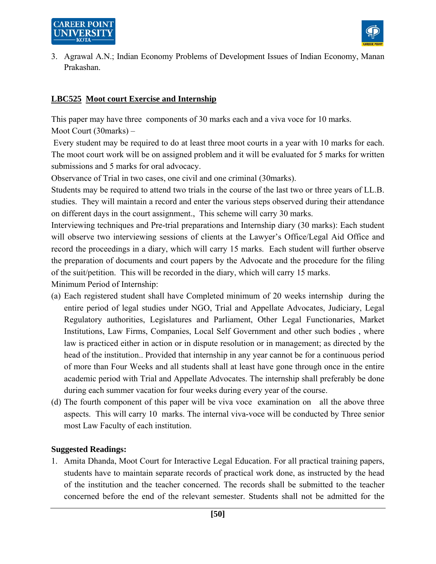



3. Agrawal A.N.; Indian Economy Problems of Development Issues of Indian Economy, Manan Prakashan.

## **LBC525 Moot court Exercise and Internship**

This paper may have three components of 30 marks each and a viva voce for 10 marks. Moot Court (30marks) –

 Every student may be required to do at least three moot courts in a year with 10 marks for each. The moot court work will be on assigned problem and it will be evaluated for 5 marks for written submissions and 5 marks for oral advocacy.

Observance of Trial in two cases, one civil and one criminal (30marks).

Students may be required to attend two trials in the course of the last two or three years of LL.B. studies. They will maintain a record and enter the various steps observed during their attendance on different days in the court assignment., This scheme will carry 30 marks.

Interviewing techniques and Pre-trial preparations and Internship diary (30 marks): Each student will observe two interviewing sessions of clients at the Lawyer's Office/Legal Aid Office and record the proceedings in a diary, which will carry 15 marks. Each student will further observe the preparation of documents and court papers by the Advocate and the procedure for the filing of the suit/petition. This will be recorded in the diary, which will carry 15 marks. Minimum Period of Internship:

- (a) Each registered student shall have Completed minimum of 20 weeks internship during the entire period of legal studies under NGO, Trial and Appellate Advocates, Judiciary, Legal Regulatory authorities, Legislatures and Parliament, Other Legal Functionaries, Market Institutions, Law Firms, Companies, Local Self Government and other such bodies , where law is practiced either in action or in dispute resolution or in management; as directed by the head of the institution.. Provided that internship in any year cannot be for a continuous period of more than Four Weeks and all students shall at least have gone through once in the entire academic period with Trial and Appellate Advocates. The internship shall preferably be done during each summer vacation for four weeks during every year of the course.
- (d) The fourth component of this paper will be viva voce examination on all the above three aspects. This will carry 10 marks. The internal viva-voce will be conducted by Three senior most Law Faculty of each institution.

#### **Suggested Readings:**

1. Amita Dhanda, Moot Court for Interactive Legal Education. For all practical training papers, students have to maintain separate records of practical work done, as instructed by the head of the institution and the teacher concerned. The records shall be submitted to the teacher concerned before the end of the relevant semester. Students shall not be admitted for the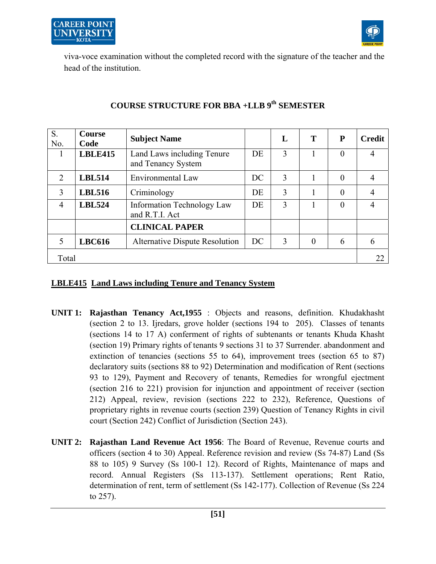



viva-voce examination without the completed record with the signature of the teacher and the head of the institution.

| S.<br>No.                   | <b>Course</b><br>Code | <b>Subject Name</b>                                 |    | L | T        | ${\bf P}$      | <b>Credit</b> |
|-----------------------------|-----------------------|-----------------------------------------------------|----|---|----------|----------------|---------------|
|                             | <b>LBLE415</b>        | Land Laws including Tenure<br>and Tenancy System    | DE | 3 | 1        | 0              | 4             |
| $\mathcal{D}_{\mathcal{L}}$ | <b>LBL514</b>         | Environmental Law                                   | DC | 3 | 1        | $\theta$       | 4             |
| 3                           | <b>LBL516</b>         | Criminology                                         | DE | 3 |          | $\overline{0}$ | 4             |
| 4                           | <b>LBL524</b>         | <b>Information Technology Law</b><br>and R.T.I. Act | DE | 3 |          | 0              | 4             |
|                             |                       | <b>CLINICAL PAPER</b>                               |    |   |          |                |               |
| $\overline{\mathcal{L}}$    | <b>LBC616</b>         | <b>Alternative Dispute Resolution</b>               | DC | 3 | $\theta$ | 6              | 6             |
| Total                       |                       |                                                     |    |   |          |                | 22            |

## **COURSE STRUCTURE FOR BBA +LLB 9th SEMESTER**

#### **LBLE415 Land Laws including Tenure and Tenancy System**

- **UNIT 1: Rajasthan Tenancy Act,1955** : Objects and reasons, definition. Khudakhasht (section 2 to 13. Ijredars, grove holder (sections 194 to 205). Classes of tenants (sections 14 to 17 A) conferment of rights of subtenants or tenants Khuda Khasht (section 19) Primary rights of tenants 9 sections 31 to 37 Surrender. abandonment and extinction of tenancies (sections 55 to 64), improvement trees (section 65 to 87) declaratory suits (sections 88 to 92) Determination and modification of Rent (sections 93 to 129), Payment and Recovery of tenants, Remedies for wrongful ejectment (section 216 to 221) provision for injunction and appointment of receiver (section 212) Appeal, review, revision (sections 222 to 232), Reference, Questions of proprietary rights in revenue courts (section 239) Question of Tenancy Rights in civil court (Section 242) Conflict of Jurisdiction (Section 243).
- **UNIT 2: Rajasthan Land Revenue Act 1956**: The Board of Revenue, Revenue courts and officers (section 4 to 30) Appeal. Reference revision and review (Ss 74-87) Land (Ss 88 to 105) 9 Survey (Ss 100-1 12). Record of Rights, Maintenance of maps and record. Annual Registers (Ss 113-137). Settlement operations; Rent Ratio, determination of rent, term of settlement (Ss 142-177). Collection of Revenue (Ss 224 to 257).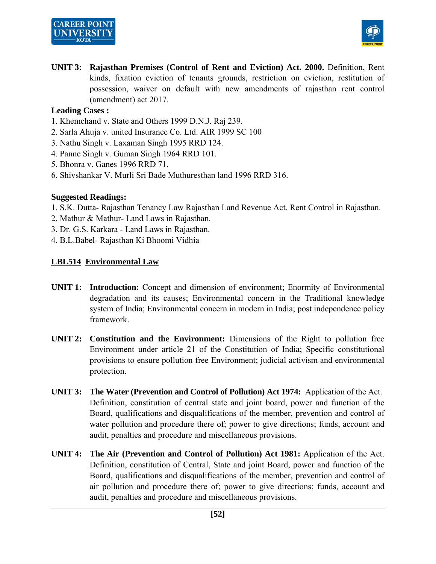



**UNIT 3: Rajasthan Premises (Control of Rent and Eviction) Act. 2000.** Definition, Rent kinds, fixation eviction of tenants grounds, restriction on eviction, restitution of possession, waiver on default with new amendments of rajasthan rent control (amendment) act 2017.

#### **Leading Cases :**

- 1. Khemchand v. State and Others 1999 D.N.J. Raj 239.
- 2. Sarla Ahuja v. united Insurance Co. Ltd. AIR 1999 SC 100
- 3. Nathu Singh v. Laxaman Singh 1995 RRD 124.
- 4. Panne Singh v. Guman Singh 1964 RRD 101.
- 5. Bhonra v. Ganes 1996 RRD 71.
- 6. Shivshankar V. Murli Sri Bade Muthuresthan land 1996 RRD 316.

#### **Suggested Readings:**

- 1. S.K. Dutta- Rajasthan Tenancy Law Rajasthan Land Revenue Act. Rent Control in Rajasthan.
- 2. Mathur & Mathur- Land Laws in Rajasthan.
- 3. Dr. G.S. Karkara Land Laws in Rajasthan.
- 4. B.L.Babel- Rajasthan Ki Bhoomi Vidhia

## **LBL514 Environmental Law**

- **UNIT 1: Introduction:** Concept and dimension of environment; Enormity of Environmental degradation and its causes; Environmental concern in the Traditional knowledge system of India; Environmental concern in modern in India; post independence policy framework.
- **UNIT 2: Constitution and the Environment:** Dimensions of the Right to pollution free Environment under article 21 of the Constitution of India; Specific constitutional provisions to ensure pollution free Environment; judicial activism and environmental protection.
- **UNIT 3: The Water (Prevention and Control of Pollution) Act 1974:** Application of the Act. Definition, constitution of central state and joint board, power and function of the Board, qualifications and disqualifications of the member, prevention and control of water pollution and procedure there of; power to give directions; funds, account and audit, penalties and procedure and miscellaneous provisions.
- **UNIT 4: The Air (Prevention and Control of Pollution) Act 1981:** Application of the Act. Definition, constitution of Central, State and joint Board, power and function of the Board, qualifications and disqualifications of the member, prevention and control of air pollution and procedure there of; power to give directions; funds, account and audit, penalties and procedure and miscellaneous provisions.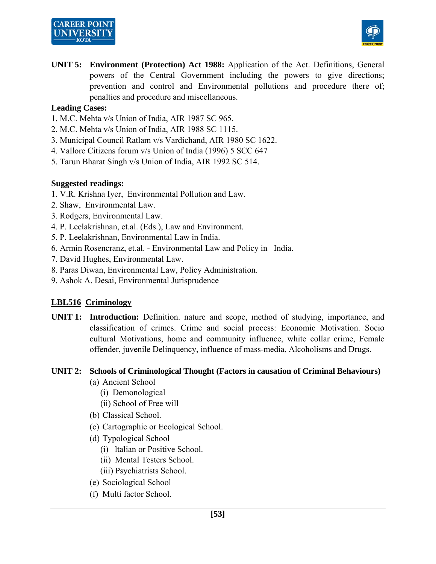# **CAREER POINT**



**UNIT 5: Environment (Protection) Act 1988:** Application of the Act. Definitions, General powers of the Central Government including the powers to give directions; prevention and control and Environmental pollutions and procedure there of; penalties and procedure and miscellaneous.

## **Leading Cases:**

- 1. M.C. Mehta v/s Union of India, AIR 1987 SC 965.
- 2. M.C. Mehta v/s Union of India, AIR 1988 SC 1115.
- 3. Municipal Council Ratlam v/s Vardichand, AIR 1980 SC 1622.
- 4. Vallore Citizens forum v/s Union of India (1996) 5 SCC 647
- 5. Tarun Bharat Singh v/s Union of India, AIR 1992 SC 514.

## **Suggested readings:**

- 1. V.R. Krishna Iyer, Environmental Pollution and Law.
- 2. Shaw, Environmental Law.
- 3. Rodgers, Environmental Law.
- 4. P. Leelakrishnan, et.al. (Eds.), Law and Environment.
- 5. P. Leelakrishnan, Environmental Law in India.
- 6. Armin Rosencranz, et.al. Environmental Law and Policy in India.
- 7. David Hughes, Environmental Law.
- 8. Paras Diwan, Environmental Law, Policy Administration.
- 9. Ashok A. Desai, Environmental Jurisprudence

## **LBL516 Criminology**

**UNIT 1: Introduction:** Definition. nature and scope, method of studying, importance, and classification of crimes. Crime and social process: Economic Motivation. Socio cultural Motivations, home and community influence, white collar crime, Female offender, juvenile Delinquency, influence of mass-media, Alcoholisms and Drugs.

#### **UNIT 2: Schools of Criminological Thought (Factors in causation of Criminal Behaviours)**

- (a) Ancient School
	- (i) Demonological
	- (ii) School of Free will
- (b) Classical School.
- (c) Cartographic or Ecological School.
- (d) Typological School
	- (i) ltalian or Positive School.
	- (ii) Mental Testers School.
	- (iii) Psychiatrists School.
- (e) Sociological School
- (f) Multi factor School.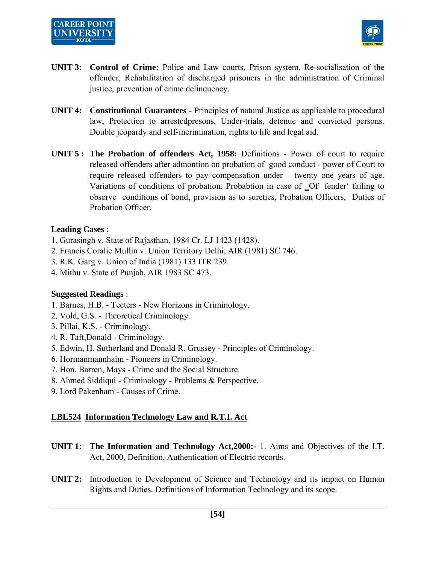



- **UNIT 3: Control of Crime:** Police and Law courts, Prison system, Re-socialisation of the offender, Rehabilitation of discharged prisoners in the administration of Criminal justice, prevention of crime delinquency.
- **UNIT 4: Constitutional Guarantees** Principles of natural Justice as applicable to procedural law, Protection to arrestcdpresons, Under-trials, detenue and convicted persons. Double jeopardy and self-incrimination, rights to life and legal aid.
- **UNIT 5 : The Probation of offenders Act, 1958:** Definitions Power of court to require released offenders after admontion on probation of good conduct - power of Court to require released offenders to pay compensation under twenty one years of age. Variations of conditions of probation. Probabtion in case of Of fender' failing to observe conditions of bond, provision as to sureties, Probation Officers, Duties of Probation Officer.

#### **Leading Cases :**

- 1. Gurasingh v. State of Rajasthan, 1984 Cr. LJ 1423 (1428).
- 2. Francis Coralie Mullin v. Union Territory Delhi, AIR (1981) SC 746.
- 3. R.K. Garg v. Union of India (1981) 133 ITR 239.
- 4. Mithu v. State of Punjab, AIR 1983 SC 473.

#### **Suggested Readings** :

- 1. Barnes, H.B. Tecters New Horizons in Criminology.
- 2. Vold, G.S. Theoretical Criminology.
- 3. Pillai, K.S. Criminology.
- 4. R. Taft,Donald Criminology.
- 5. Edwin, H. Sutherland and Donald R. Grussey Principles of Criminology.
- 6. Hormanmannhaim Pioneers in Criminology.
- 7. Hon. Barren, Mays Crime and the Social Structure.
- 8. Ahmed Siddiqui Criminology Problems & Perspective.
- 9. Lord Pakenham Causes of Crime.

#### **LBL524 Information Technology Law and R.T.I. Act**

- **UNIT 1: The Information and Technology Act,2000:-** 1. Aims and Objectives of the I.T. Act, 2000, Definition, Authentication of Electric records.
- **UNIT 2:** Introduction to Development of Science and Technology and its impact on Human Rights and Duties. Definitions of Information Technology and its scope.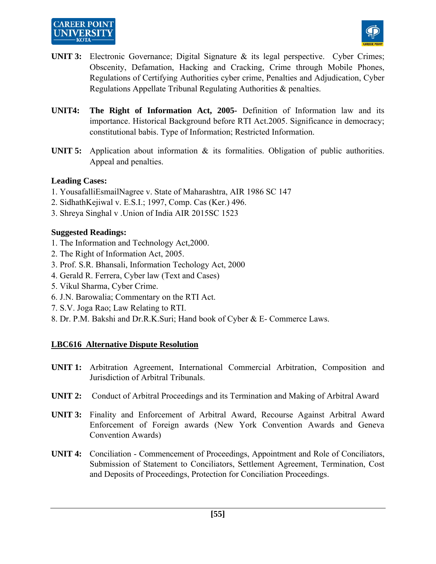# **CAREER POINT**



- **UNIT 3:** Electronic Governance; Digital Signature & its legal perspective. Cyber Crimes; Obscenity, Defamation, Hacking and Cracking, Crime through Mobile Phones, Regulations of Certifying Authorities cyber crime, Penalties and Adjudication, Cyber Regulations Appellate Tribunal Regulating Authorities & penalties.
- **UNIT4: The Right of Information Act, 2005-** Definition of Information law and its importance. Historical Background before RTI Act.2005. Significance in democracy; constitutional babis. Type of Information; Restricted Information.
- **UNIT 5:** Application about information & its formalities. Obligation of public authorities. Appeal and penalties.

## **Leading Cases:**

- 1. YousafalliEsmailNagree v. State of Maharashtra, AIR 1986 SC 147
- 2. SidhathKejiwal v. E.S.I.; 1997, Comp. Cas (Ker.) 496.
- 3. Shreya Singhal v .Union of India AIR 2015SC 1523

## **Suggested Readings:**

- 1. The Information and Technology Act,2000.
- 2. The Right of Information Act, 2005.
- 3. Prof. S.R. Bhansali, Information Techology Act, 2000
- 4. Gerald R. Ferrera, Cyber law (Text and Cases)
- 5. Vikul Sharma, Cyber Crime.
- 6. J.N. Barowalia; Commentary on the RTI Act.
- 7. S.V. Joga Rao; Law Relating to RTI.
- 8. Dr. P.M. Bakshi and Dr.R.K.Suri; Hand book of Cyber & E- Commerce Laws.

## **LBC616 Alternative Dispute Resolution**

- **UNIT 1:** Arbitration Agreement, International Commercial Arbitration, Composition and Jurisdiction of Arbitral Tribunals.
- **UNIT 2:** Conduct of Arbitral Proceedings and its Termination and Making of Arbitral Award
- **UNIT 3:** Finality and Enforcement of Arbitral Award, Recourse Against Arbitral Award Enforcement of Foreign awards (New York Convention Awards and Geneva Convention Awards)
- **UNIT 4:** Conciliation Commencement of Proceedings, Appointment and Role of Conciliators, Submission of Statement to Conciliators, Settlement Agreement, Termination, Cost and Deposits of Proceedings, Protection for Conciliation Proceedings.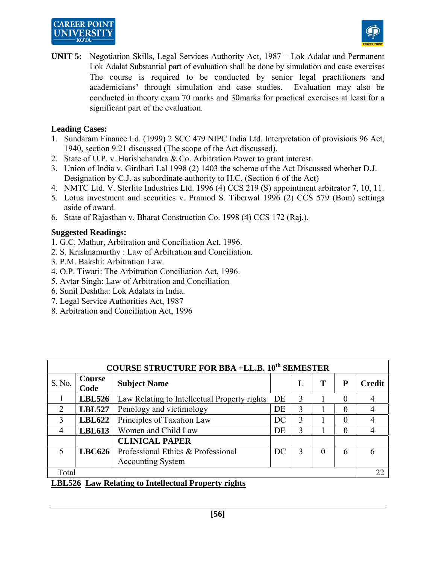# **CAREER POINT** UNIVERSIT



**UNIT 5:** Negotiation Skills, Legal Services Authority Act, 1987 – Lok Adalat and Permanent Lok Adalat Substantial part of evaluation shall be done by simulation and case exercises The course is required to be conducted by senior legal practitioners and academicians' through simulation and case studies. Evaluation may also be conducted in theory exam 70 marks and 30marks for practical exercises at least for a significant part of the evaluation.

## **Leading Cases:**

- 1. Sundaram Finance Ld. (1999) 2 SCC 479 NIPC India Ltd. Interpretation of provisions 96 Act, 1940, section 9.21 discussed (The scope of the Act discussed).
- 2. State of U.P. v. Harishchandra & Co. Arbitration Power to grant interest.
- 3. Union of India v. Girdhari Lal 1998 (2) 1403 the scheme of the Act Discussed whether D.J. Designation by C.J. as subordinate authority to H.C. (Section 6 of the Act)
- 4. NMTC Ltd. V. Sterlite Industries Ltd. 1996 (4) CCS 219 (S) appointment arbitrator 7, 10, 11.
- 5. Lotus investment and securities v. Pramod S. Tiberwal 1996 (2) CCS 579 (Bom) settings aside of award.
- 6. State of Rajasthan v. Bharat Construction Co. 1998 (4) CCS 172 (Raj.).

## **Suggested Readings:**

- 1. G.C. Mathur, Arbitration and Conciliation Act, 1996.
- 2. S. Krishnamurthy : Law of Arbitration and Conciliation.
- 3. P.M. Bakshi: Arbitration Law.
- 4. O.P. Tiwari: The Arbitration Conciliation Act, 1996.
- 5. Avtar Singh: Law of Arbitration and Conciliation
- 6. Sunil Deshtha: Lok Adalats in India.
- 7. Legal Service Authorities Act, 1987
- 8. Arbitration and Conciliation Act, 1996

| <b>COURSE STRUCTURE FOR BBA +LL.B. 10th SEMESTER</b> |                |                                              |    |               |          |          |               |  |  |  |  |
|------------------------------------------------------|----------------|----------------------------------------------|----|---------------|----------|----------|---------------|--|--|--|--|
| S. No.                                               | Course<br>Code | <b>Subject Name</b>                          |    | L             | т        | P        | <b>Credit</b> |  |  |  |  |
|                                                      | <b>LBL526</b>  | Law Relating to Intellectual Property rights | DE | $\mathcal{R}$ |          | $\theta$ |               |  |  |  |  |
| $\overline{2}$                                       | <b>LBL527</b>  | Penology and victimology                     | DE | 3             |          | 0        |               |  |  |  |  |
| 3                                                    | <b>LBL622</b>  | Principles of Taxation Law                   | DC | 3             |          |          |               |  |  |  |  |
| 4                                                    | <b>LBL613</b>  | Women and Child Law                          | DE | 3             |          | 0        |               |  |  |  |  |
|                                                      |                | <b>CLINICAL PAPER</b>                        |    |               |          |          |               |  |  |  |  |
| $\varsigma$                                          | <b>LBC626</b>  | Professional Ethics & Professional           | DC | 3             | $\Omega$ | 6        | 6             |  |  |  |  |
|                                                      |                | <b>Accounting System</b>                     |    |               |          |          |               |  |  |  |  |
| Total                                                |                |                                              |    |               |          |          | 22            |  |  |  |  |

## **LBL526 Law Relating to Intellectual Property rights**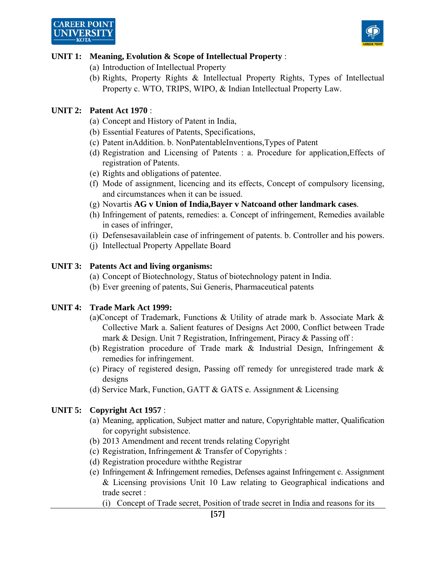

## **UNIT 1: Meaning, Evolution & Scope of Intellectual Property** :

- (a) Introduction of Intellectual Property
- (b) Rights, Property Rights & Intellectual Property Rights, Types of Intellectual Property c. WTO, TRIPS, WIPO, & Indian Intellectual Property Law.

## **UNIT 2: Patent Act 1970** :

- (a) Concept and History of Patent in India,
- (b) Essential Features of Patents, Specifications,
- (c) Patent inAddition. b. NonPatentableInventions,Types of Patent
- (d) Registration and Licensing of Patents : a. Procedure for application,Effects of registration of Patents.
- (e) Rights and obligations of patentee.
- (f) Mode of assignment, licencing and its effects, Concept of compulsory licensing, and circumstances when it can be issued.
- (g) Novartis **AG v Union of India,Bayer v Natcoand other landmark cases**.
- (h) Infringement of patents, remedies: a. Concept of infringement, Remedies available in cases of infringer,
- (i) Defensesavailablein case of infringement of patents. b. Controller and his powers.
- (j) Intellectual Property Appellate Board

## **UNIT 3: Patents Act and living organisms:**

- (a) Concept of Biotechnology, Status of biotechnology patent in India.
- (b) Ever greening of patents, Sui Generis, Pharmaceutical patents

## **UNIT 4: Trade Mark Act 1999:**

- (a)Concept of Trademark, Functions & Utility of atrade mark b. Associate Mark & Collective Mark a. Salient features of Designs Act 2000, Conflict between Trade mark & Design. Unit 7 Registration, Infringement, Piracy & Passing off :
- (b) Registration procedure of Trade mark & Industrial Design, Infringement & remedies for infringement.
- (c) Piracy of registered design, Passing off remedy for unregistered trade mark & designs
- (d) Service Mark, Function, GATT & GATS e. Assignment & Licensing

## **UNIT 5: Copyright Act 1957** :

- (a) Meaning, application, Subject matter and nature, Copyrightable matter, Qualification for copyright subsistence.
- (b) 2013 Amendment and recent trends relating Copyright
- (c) Registration, Infringement & Transfer of Copyrights :
- (d) Registration procedure withthe Registrar
- (e) Infringement & Infringement remedies, Defenses against Infringement c. Assignment & Licensing provisions Unit 10 Law relating to Geographical indications and trade secret :

(i) Concept of Trade secret, Position of trade secret in India and reasons for its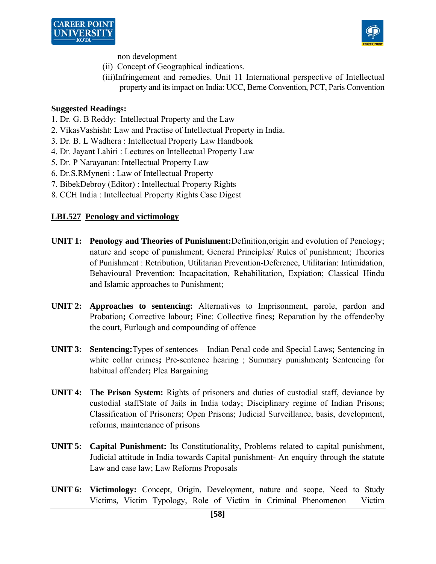



non development

- (ii) Concept of Geographical indications.
- (iii)Infringement and remedies. Unit 11 International perspective of Intellectual property and its impact on India: UCC, Berne Convention, PCT, Paris Convention

#### **Suggested Readings:**

- 1. Dr. G. B Reddy: Intellectual Property and the Law
- 2. VikasVashisht: Law and Practise of Intellectual Property in India.
- 3. Dr. B. L Wadhera : Intellectual Property Law Handbook
- 4. Dr. Jayant Lahiri : Lectures on Intellectual Property Law
- 5. Dr. P Narayanan: Intellectual Property Law
- 6. Dr.S.RMyneni : Law of Intellectual Property
- 7. BibekDebroy (Editor) : Intellectual Property Rights
- 8. CCH India : Intellectual Property Rights Case Digest

#### **LBL527 Penology and victimology**

- **UNIT 1: Penology and Theories of Punishment:**Definition,origin and evolution of Penology; nature and scope of punishment; General Principles/ Rules of punishment; Theories of Punishment : Retribution, Utilitarian Prevention-Deference, Utilitarian: Intimidation, Behavioural Prevention: Incapacitation, Rehabilitation, Expiation; Classical Hindu and Islamic approaches to Punishment;
- **UNIT 2: Approaches to sentencing:** Alternatives to Imprisonment, parole, pardon and Probation**;** Corrective labour**;** Fine: Collective fines**;** Reparation by the offender/by the court, Furlough and compounding of offence
- **UNIT 3: Sentencing:**Types of sentences Indian Penal code and Special Laws**;** Sentencing in white collar crimes**;** Pre-sentence hearing ; Summary punishment**;** Sentencing for habitual offender**;** Plea Bargaining
- **UNIT 4: The Prison System:** Rights of prisoners and duties of custodial staff, deviance by custodial staffState of Jails in India today; Disciplinary regime of Indian Prisons; Classification of Prisoners; Open Prisons; Judicial Surveillance, basis, development, reforms, maintenance of prisons
- **UNIT 5: Capital Punishment:** Its Constitutionality, Problems related to capital punishment, Judicial attitude in India towards Capital punishment- An enquiry through the statute Law and case law; Law Reforms Proposals
- **UNIT 6: Victimology:** Concept, Origin, Development, nature and scope, Need to Study Victims, Victim Typology, Role of Victim in Criminal Phenomenon – Victim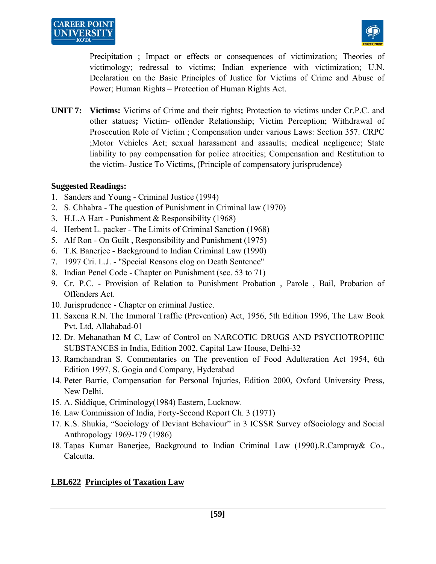

Precipitation ; Impact or effects or consequences of victimization; Theories of victimology; redressal to victims; Indian experience with victimization; U.N. Declaration on the Basic Principles of Justice for Victims of Crime and Abuse of Power; Human Rights – Protection of Human Rights Act.

**UNIT 7: Victims:** Victims of Crime and their rights**;** Protection to victims under Cr.P.C. and other statues**;** Victim- offender Relationship; Victim Perception; Withdrawal of Prosecution Role of Victim ; Compensation under various Laws: Section 357. CRPC ;Motor Vehicles Act; sexual harassment and assaults; medical negligence; State liability to pay compensation for police atrocities; Compensation and Restitution to the victim- Justice To Victims, (Principle of compensatory jurisprudence)

## **Suggested Readings:**

- 1. Sanders and Young Criminal Justice (1994)
- 2. S. Chhabra The question of Punishment in Criminal law (1970)
- 3. H.L.A Hart Punishment & Responsibility (1968)
- 4. Herbent L. packer The Limits of Criminal Sanction (1968)
- 5. Alf Ron On Guilt , Responsibility and Punishment (1975)
- 6. T.K Banerjee Background to Indian Criminal Law (1990)
- 7. 1997 Cri. L.J. "Special Reasons clog on Death Sentence"
- 8. Indian Penel Code Chapter on Punishment (sec. 53 to 71)
- 9. Cr. P.C. Provision of Relation to Punishment Probation , Parole , Bail, Probation of Offenders Act.
- 10. Jurisprudence Chapter on criminal Justice.
- 11. Saxena R.N. The Immoral Traffic (Prevention) Act, 1956, 5th Edition 1996, The Law Book Pvt. Ltd, Allahabad-01
- 12. Dr. Mehanathan M C, Law of Control on NARCOTIC DRUGS AND PSYCHOTROPHIC SUBSTANCES in India, Edition 2002, Capital Law House, Delhi-32
- 13. Ramchandran S. Commentaries on The prevention of Food Adulteration Act 1954, 6th Edition 1997, S. Gogia and Company, Hyderabad
- 14. Peter Barrie, Compensation for Personal Injuries, Edition 2000, Oxford University Press, New Delhi.
- 15. A. Siddique, Criminology(1984) Eastern, Lucknow.
- 16. Law Commission of India, Forty-Second Report Ch. 3 (1971)
- 17. K.S. Shukia, "Sociology of Deviant Behaviour" in 3 ICSSR Survey ofSociology and Social Anthropology 1969-179 (1986)
- 18. Tapas Kumar Banerjee, Background to Indian Criminal Law (1990),R.Campray& Co., Calcutta.

## **LBL622 Principles of Taxation Law**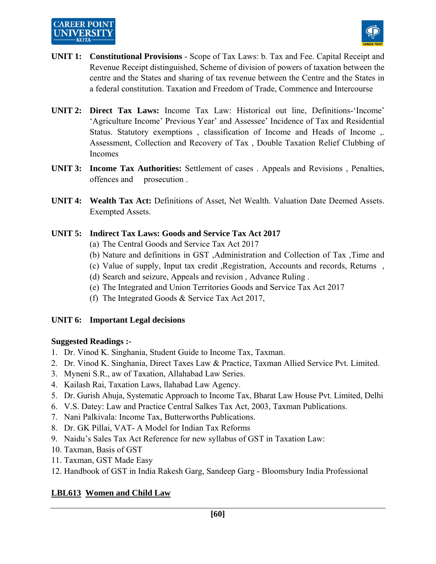

- **UNIT 1: Constitutional Provisions** Scope of Tax Laws: b. Tax and Fee. Capital Receipt and Revenue Receipt distinguished, Scheme of division of powers of taxation between the centre and the States and sharing of tax revenue between the Centre and the States in a federal constitution. Taxation and Freedom of Trade, Commence and Intercourse
- **UNIT 2: Direct Tax Laws:** Income Tax Law: Historical out line, Definitions-'Income' 'Agriculture Income' Previous Year' and Assessee' Incidence of Tax and Residential Status. Statutory exemptions , classification of Income and Heads of Income ,. Assessment, Collection and Recovery of Tax , Double Taxation Relief Clubbing of Incomes
- **UNIT 3: Income Tax Authorities:** Settlement of cases . Appeals and Revisions , Penalties, offences and prosecution .
- **UNIT 4: Wealth Tax Act:** Definitions of Asset, Net Wealth. Valuation Date Deemed Assets. Exempted Assets.

## **UNIT 5: Indirect Tax Laws: Goods and Service Tax Act 2017**

- (a) The Central Goods and Service Tax Act 2017
- (b) Nature and definitions in GST ,Administration and Collection of Tax ,Time and
- (c) Value of supply, Input tax credit ,Registration, Accounts and records, Returns ,
- (d) Search and seizure, Appeals and revision , Advance Ruling .
- (e) The Integrated and Union Territories Goods and Service Tax Act 2017
- (f) The Integrated Goods & Service Tax Act 2017,

#### **UNIT 6: Important Legal decisions**

#### **Suggested Readings :-**

- 1. Dr. Vinod K. Singhania, Student Guide to Income Tax, Taxman.
- 2. Dr. Vinod K. Singhania, Direct Taxes Law & Practice, Taxman Allied Service Pvt. Limited.
- 3. Myneni S.R., aw of Taxation, Allahabad Law Series.
- 4. Kailash Rai, Taxation Laws, llahabad Law Agency.
- 5. Dr. Gurish Ahuja, Systematic Approach to Income Tax, Bharat Law House Pvt. Limited, Delhi
- 6. V.S. Datey: Law and Practice Central Salkes Tax Act, 2003, Taxman Publications.
- 7. Nani Palkivala: Income Tax, Butterworths Publications.
- 8. Dr. GK Pillai, VAT- A Model for Indian Tax Reforms
- 9. Naidu's Sales Tax Act Reference for new syllabus of GST in Taxation Law:
- 10. Taxman, Basis of GST
- 11. Taxman, GST Made Easy
- 12. Handbook of GST in India Rakesh Garg, Sandeep Garg Bloomsbury India Professional

## **LBL613 Women and Child Law**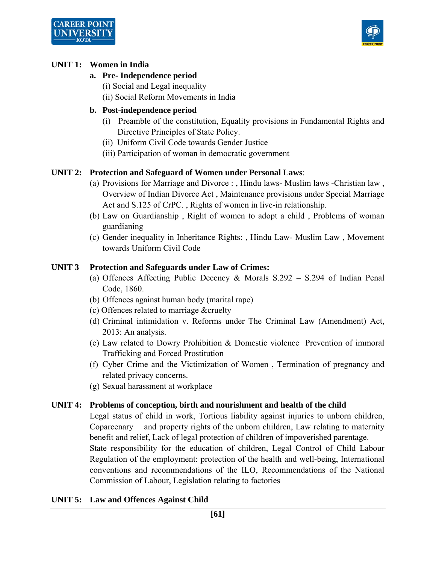



#### **UNIT 1: Women in India**

## **a. Pre- Independence period**

(i) Social and Legal inequality

(ii) Social Reform Movements in India

## **b. Post-independence period**

- (i) Preamble of the constitution, Equality provisions in Fundamental Rights and Directive Principles of State Policy.
- (ii) Uniform Civil Code towards Gender Justice
- (iii) Participation of woman in democratic government

## **UNIT 2: Protection and Safeguard of Women under Personal Laws**:

- (a) Provisions for Marriage and Divorce : , Hindu laws- Muslim laws -Christian law , Overview of Indian Divorce Act , Maintenance provisions under Special Marriage Act and S.125 of CrPC. , Rights of women in live-in relationship.
- (b) Law on Guardianship , Right of women to adopt a child , Problems of woman guardianing
- (c) Gender inequality in Inheritance Rights: , Hindu Law- Muslim Law , Movement towards Uniform Civil Code

#### **UNIT 3 Protection and Safeguards under Law of Crimes:**

- (a) Offences Affecting Public Decency & Morals S.292 S.294 of Indian Penal Code, 1860.
- (b) Offences against human body (marital rape)
- (c) Offences related to marriage &cruelty
- (d) Criminal intimidation v. Reforms under The Criminal Law (Amendment) Act, 2013: An analysis.
- (e) Law related to Dowry Prohibition & Domestic violence Prevention of immoral Trafficking and Forced Prostitution
- (f) Cyber Crime and the Victimization of Women , Termination of pregnancy and related privacy concerns.
- (g) Sexual harassment at workplace

#### **UNIT 4: Problems of conception, birth and nourishment and health of the child**

 Legal status of child in work, Tortious liability against injuries to unborn children, Coparcenary and property rights of the unborn children, Law relating to maternity benefit and relief, Lack of legal protection of children of impoverished parentage. State responsibility for the education of children, Legal Control of Child Labour Regulation of the employment: protection of the health and well-being, International conventions and recommendations of the ILO, Recommendations of the National Commission of Labour, Legislation relating to factories

## **UNIT 5: Law and Offences Against Child**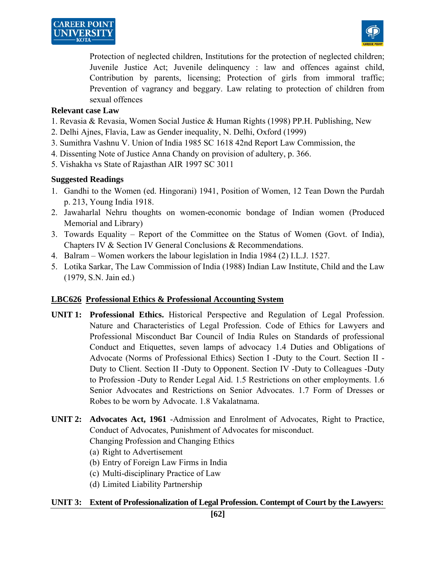



Protection of neglected children, Institutions for the protection of neglected children; Juvenile Justice Act; Juvenile delinquency : law and offences against child, Contribution by parents, licensing; Protection of girls from immoral traffic; Prevention of vagrancy and beggary. Law relating to protection of children from sexual offences

#### **Relevant case Law**

- 1. Revasia & Revasia, Women Social Justice & Human Rights (1998) PP.H. Publishing, New
- 2. Delhi Ajnes, Flavia, Law as Gender inequality, N. Delhi, Oxford (1999)
- 3. Sumithra Vashnu V. Union of India 1985 SC 1618 42nd Report Law Commission, the
- 4. Dissenting Note of Justice Anna Chandy on provision of adultery, p. 366.
- 5. Vishakha vs State of Rajasthan AIR 1997 SC 3011

#### **Suggested Readings**

- 1. Gandhi to the Women (ed. Hingorani) 1941, Position of Women, 12 Tean Down the Purdah p. 213, Young India 1918.
- 2. Jawaharlal Nehru thoughts on women-economic bondage of Indian women (Produced Memorial and Library)
- 3. Towards Equality Report of the Committee on the Status of Women (Govt. of India), Chapters IV & Section IV General Conclusions & Recommendations.
- 4. Balram Women workers the labour legislation in India 1984 (2) I.L.J. 1527.
- 5. Lotika Sarkar, The Law Commission of India (1988) Indian Law Institute, Child and the Law (1979, S.N. Jain ed.)

#### **LBC626 Professional Ethics & Professional Accounting System**

- **UNIT 1: Professional Ethics.** Historical Perspective and Regulation of Legal Profession. Nature and Characteristics of Legal Profession. Code of Ethics for Lawyers and Professional Misconduct Bar Council of India Rules on Standards of professional Conduct and Etiquettes, seven lamps of advocacy 1.4 Duties and Obligations of Advocate (Norms of Professional Ethics) Section I -Duty to the Court. Section II - Duty to Client. Section II -Duty to Opponent. Section IV -Duty to Colleagues -Duty to Profession -Duty to Render Legal Aid. 1.5 Restrictions on other employments. 1.6 Senior Advocates and Restrictions on Senior Advocates. 1.7 Form of Dresses or Robes to be worn by Advocate. 1.8 Vakalatnama.
- **UNIT 2: Advocates Act, 1961** -Admission and Enrolment of Advocates, Right to Practice, Conduct of Advocates, Punishment of Advocates for misconduct. Changing Profession and Changing Ethics
	- (a) Right to Advertisement
	- (b) Entry of Foreign Law Firms in India
	- (c) Multi-disciplinary Practice of Law
	- (d) Limited Liability Partnership

#### **UNIT 3: Extent of Professionalization of Legal Profession. Contempt of Court by the Lawyers:**